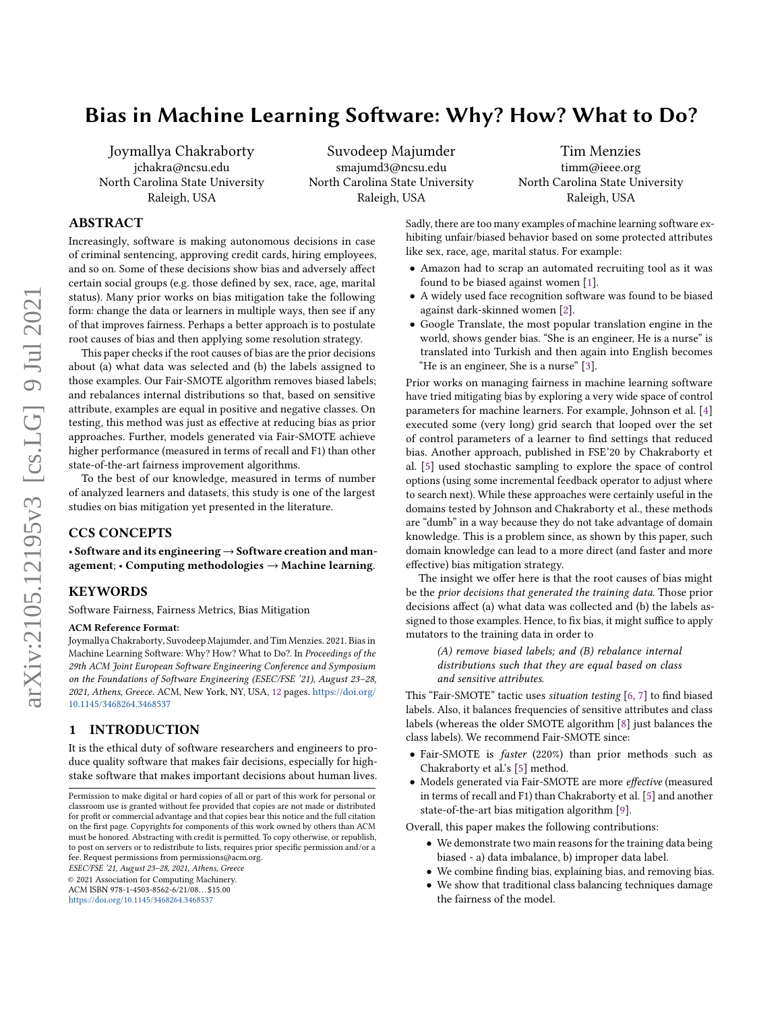# Bias in Machine Learning Software: Why? How? What to Do?

Joymallya Chakraborty jchakra@ncsu.edu North Carolina State University Raleigh, USA

Suvodeep Majumder smajumd3@ncsu.edu North Carolina State University Raleigh, USA

Tim Menzies timm@ieee.org North Carolina State University Raleigh, USA

## ABSTRACT

Increasingly, software is making autonomous decisions in case of criminal sentencing, approving credit cards, hiring employees, and so on. Some of these decisions show bias and adversely affect certain social groups (e.g. those defined by sex, race, age, marital status). Many prior works on bias mitigation take the following form: change the data or learners in multiple ways, then see if any of that improves fairness. Perhaps a better approach is to postulate root causes of bias and then applying some resolution strategy.

This paper checks if the root causes of bias are the prior decisions about (a) what data was selected and (b) the labels assigned to those examples. Our Fair-SMOTE algorithm removes biased labels; and rebalances internal distributions so that, based on sensitive attribute, examples are equal in positive and negative classes. On testing, this method was just as effective at reducing bias as prior approaches. Further, models generated via Fair-SMOTE achieve higher performance (measured in terms of recall and F1) than other state-of-the-art fairness improvement algorithms.

To the best of our knowledge, measured in terms of number of analyzed learners and datasets, this study is one of the largest studies on bias mitigation yet presented in the literature.

## CCS CONCEPTS

• Software and its engineering  $\rightarrow$  Software creation and management;  $\cdot$  Computing methodologies  $\rightarrow$  Machine learning.

#### KEYWORDS

Software Fairness, Fairness Metrics, Bias Mitigation

#### ACM Reference Format:

Joymallya Chakraborty, Suvodeep Majumder, and Tim Menzies. 2021. Bias in Machine Learning Software: Why? How? What to Do?. In Proceedings of the 29th ACM Joint European Software Engineering Conference and Symposium on the Foundations of Software Engineering (ESEC/FSE '21), August 23–28, 2021, Athens, Greece. ACM, New York, NY, USA, [12](#page-11-0) pages. [https://doi.org/](https://doi.org/10.1145/3468264.3468537) [10.1145/3468264.3468537](https://doi.org/10.1145/3468264.3468537)

## 1 INTRODUCTION

It is the ethical duty of software researchers and engineers to produce quality software that makes fair decisions, especially for highstake software that makes important decisions about human lives.

ESEC/FSE '21, August 23–28, 2021, Athens, Greece

© 2021 Association for Computing Machinery.

ACM ISBN 978-1-4503-8562-6/21/08. . . \$15.00

<https://doi.org/10.1145/3468264.3468537>

Sadly, there are too many examples of machine learning software exhibiting unfair/biased behavior based on some protected attributes like sex, race, age, marital status. For example:

- Amazon had to scrap an automated recruiting tool as it was found to be biased against women [\[1\]](#page-10-0).
- A widely used face recognition software was found to be biased against dark-skinned women [\[2\]](#page-10-1).
- Google Translate, the most popular translation engine in the world, shows gender bias. "She is an engineer, He is a nurse" is translated into Turkish and then again into English becomes "He is an engineer, She is a nurse" [\[3\]](#page-10-2).

Prior works on managing fairness in machine learning software have tried mitigating bias by exploring a very wide space of control parameters for machine learners. For example, Johnson et al. [\[4\]](#page-10-3) executed some (very long) grid search that looped over the set of control parameters of a learner to find settings that reduced bias. Another approach, published in FSE'20 by Chakraborty et al. [\[5\]](#page-10-4) used stochastic sampling to explore the space of control options (using some incremental feedback operator to adjust where to search next). While these approaches were certainly useful in the domains tested by Johnson and Chakraborty et al., these methods are "dumb" in a way because they do not take advantage of domain knowledge. This is a problem since, as shown by this paper, such domain knowledge can lead to a more direct (and faster and more effective) bias mitigation strategy.

The insight we offer here is that the root causes of bias might be the prior decisions that generated the training data. Those prior decisions affect (a) what data was collected and (b) the labels assigned to those examples. Hence, to fix bias, it might suffice to apply mutators to the training data in order to

> (A) remove biased labels; and (B) rebalance internal distributions such that they are equal based on class and sensitive attributes.

This "Fair-SMOTE" tactic uses situation testing [\[6,](#page-10-5) [7\]](#page-10-6) to find biased labels. Also, it balances frequencies of sensitive attributes and class labels (whereas the older SMOTE algorithm [\[8\]](#page-10-7) just balances the class labels). We recommend Fair-SMOTE since:

- Fair-SMOTE is *faster* (220%) than prior methods such as Chakraborty et al.'s [\[5\]](#page-10-4) method.
- Models generated via Fair-SMOTE are more effective (measured in terms of recall and F1) than Chakraborty et al. [\[5\]](#page-10-4) and another state-of-the-art bias mitigation algorithm [\[9\]](#page-10-8).

Overall, this paper makes the following contributions:

- We demonstrate two main reasons for the training data being biased - a) data imbalance, b) improper data label.
- We combine finding bias, explaining bias, and removing bias.
- We show that traditional class balancing techniques damage the fairness of the model.

Permission to make digital or hard copies of all or part of this work for personal or classroom use is granted without fee provided that copies are not made or distributed for profit or commercial advantage and that copies bear this notice and the full citation on the first page. Copyrights for components of this work owned by others than ACM must be honored. Abstracting with credit is permitted. To copy otherwise, or republish, to post on servers or to redistribute to lists, requires prior specific permission and/or a fee. Request permissions from permissions@acm.org.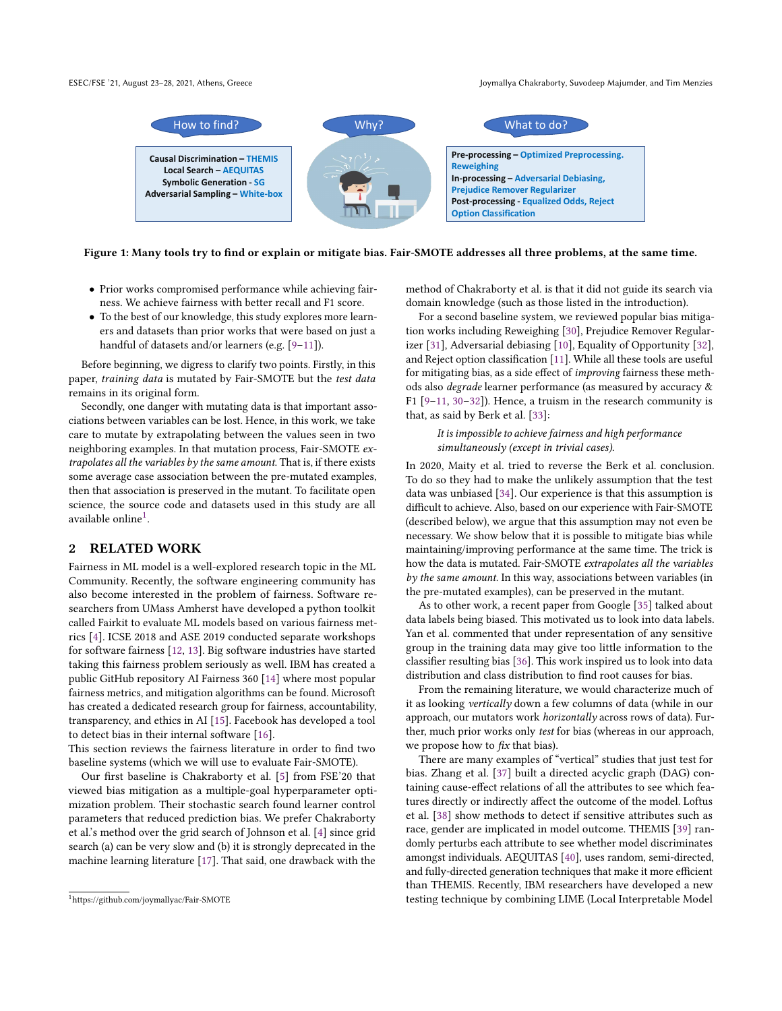ESEC/FSE '21, August 23-28, 2021, Athens, Greece Joyman Joymallya Chakraborty, Suvodeep Majumder, and Tim Menzies



Figure 1: Many tools try to find or explain or mitigate bias. Fair-SMOTE addresses all three problems, at the same time.

- Prior works compromised performance while achieving fairness. We achieve fairness with better recall and F1 score.
- To the best of our knowledge, this study explores more learners and datasets than prior works that were based on just a handful of datasets and/or learners (e.g. [\[9](#page-10-8)[–11\]](#page-10-9)).

Before beginning, we digress to clarify two points. Firstly, in this paper, training data is mutated by Fair-SMOTE but the test data remains in its original form.

Secondly, one danger with mutating data is that important associations between variables can be lost. Hence, in this work, we take care to mutate by extrapolating between the values seen in two neighboring examples. In that mutation process, Fair-SMOTE extrapolates all the variables by the same amount. That is, if there exists some average case association between the pre-mutated examples, then that association is preserved in the mutant. To facilitate open science, the source code and datasets used in this study are all available online<sup>[1](#page-1-0)</sup>.

## 2 RELATED WORK

Fairness in ML model is a well-explored research topic in the ML Community. Recently, the software engineering community has also become interested in the problem of fairness. Software researchers from UMass Amherst have developed a python toolkit called Fairkit to evaluate ML models based on various fairness metrics [\[4\]](#page-10-3). ICSE 2018 and ASE 2019 conducted separate workshops for software fairness [\[12,](#page-10-10) [13\]](#page-10-11). Big software industries have started taking this fairness problem seriously as well. IBM has created a public GitHub repository AI Fairness 360 [\[14\]](#page-10-12) where most popular fairness metrics, and mitigation algorithms can be found. Microsoft has created a dedicated research group for fairness, accountability, transparency, and ethics in AI [\[15\]](#page-10-13). Facebook has developed a tool to detect bias in their internal software [\[16\]](#page-10-14).

This section reviews the fairness literature in order to find two baseline systems (which we will use to evaluate Fair-SMOTE).

Our first baseline is Chakraborty et al. [\[5\]](#page-10-4) from FSE'20 that viewed bias mitigation as a multiple-goal hyperparameter optimization problem. Their stochastic search found learner control parameters that reduced prediction bias. We prefer Chakraborty et al.'s method over the grid search of Johnson et al. [\[4\]](#page-10-3) since grid search (a) can be very slow and (b) it is strongly deprecated in the machine learning literature [\[17\]](#page-10-15). That said, one drawback with the

method of Chakraborty et al. is that it did not guide its search via domain knowledge (such as those listed in the introduction).

For a second baseline system, we reviewed popular bias mitigation works including Reweighing [\[30\]](#page-10-16), Prejudice Remover Regularizer [\[31\]](#page-10-17), Adversarial debiasing [\[10\]](#page-10-18), Equality of Opportunity [\[32\]](#page-10-19), and Reject option classification [\[11\]](#page-10-9). While all these tools are useful for mitigating bias, as a side effect of improving fairness these methods also degrade learner performance (as measured by accuracy & F1 [\[9–](#page-10-8)[11,](#page-10-9) [30–](#page-10-16)[32\]](#page-10-19)). Hence, a truism in the research community is that, as said by Berk et al. [\[33\]](#page-10-20):

## It is impossible to achieve fairness and high performance simultaneously (except in trivial cases).

In 2020, Maity et al. tried to reverse the Berk et al. conclusion. To do so they had to make the unlikely assumption that the test data was unbiased [\[34\]](#page-10-21). Our experience is that this assumption is difficult to achieve. Also, based on our experience with Fair-SMOTE (described below), we argue that this assumption may not even be necessary. We show below that it is possible to mitigate bias while maintaining/improving performance at the same time. The trick is how the data is mutated. Fair-SMOTE extrapolates all the variables by the same amount. In this way, associations between variables (in the pre-mutated examples), can be preserved in the mutant.

As to other work, a recent paper from Google [\[35\]](#page-10-22) talked about data labels being biased. This motivated us to look into data labels. Yan et al. commented that under representation of any sensitive group in the training data may give too little information to the classifier resulting bias [\[36\]](#page-10-23). This work inspired us to look into data distribution and class distribution to find root causes for bias.

From the remaining literature, we would characterize much of it as looking vertically down a few columns of data (while in our approach, our mutators work horizontally across rows of data). Further, much prior works only test for bias (whereas in our approach, we propose how to  $fix$  that bias).

There are many examples of "vertical" studies that just test for bias. Zhang et al. [\[37\]](#page-10-24) built a directed acyclic graph (DAG) containing cause-effect relations of all the attributes to see which features directly or indirectly affect the outcome of the model. Loftus et al. [\[38\]](#page-10-25) show methods to detect if sensitive attributes such as race, gender are implicated in model outcome. THEMIS [\[39\]](#page-10-26) randomly perturbs each attribute to see whether model discriminates amongst individuals. AEQUITAS [\[40\]](#page-10-27), uses random, semi-directed, and fully-directed generation techniques that make it more efficient than THEMIS. Recently, IBM researchers have developed a new testing technique by combining LIME (Local Interpretable Model

<span id="page-1-0"></span><sup>1</sup>https://github.com/joymallyac/Fair-SMOTE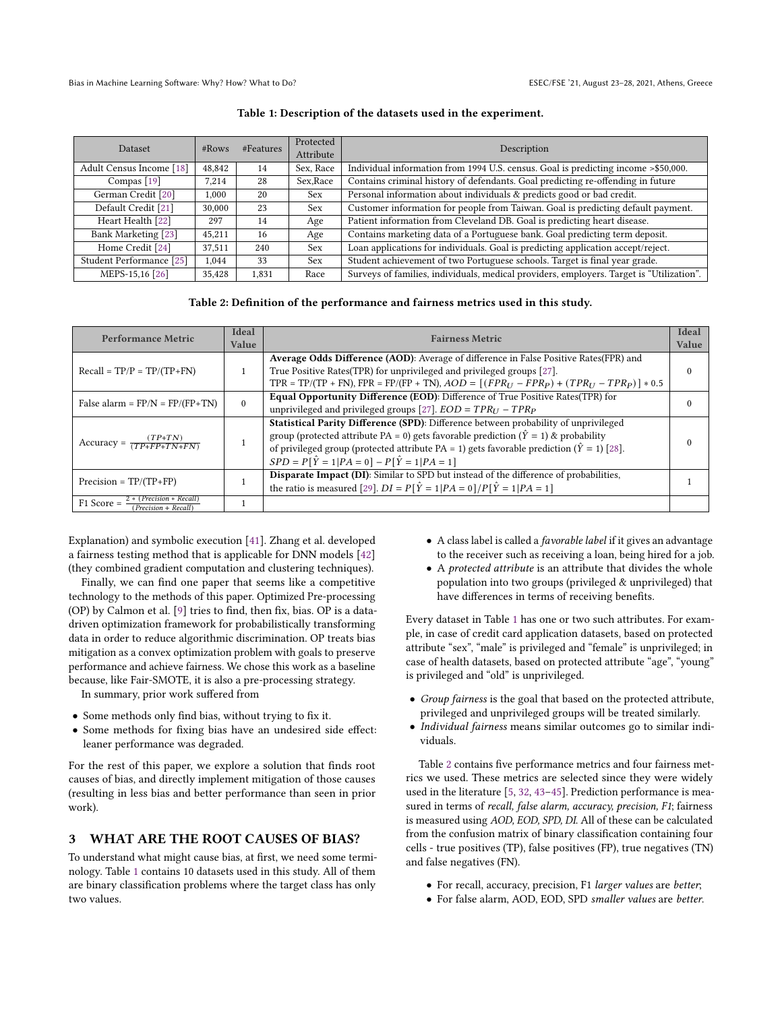<span id="page-2-0"></span>

| Dataset                                         | #Rows  | #Features | Protected<br>Attribute                                                | Description                                                                              |
|-------------------------------------------------|--------|-----------|-----------------------------------------------------------------------|------------------------------------------------------------------------------------------|
| Adult Census Income [18]                        | 48,842 | 14        | Sex, Race                                                             | Individual information from 1994 U.S. census. Goal is predicting income >\$50,000.       |
| Compas $[19]$                                   | 7.214  | 28        | Sex, Race                                                             | Contains criminal history of defendants. Goal predicting re-offending in future          |
| German Credit [20]<br>1,000<br><b>Sex</b><br>20 |        |           | Personal information about individuals & predicts good or bad credit. |                                                                                          |
| Default Credit [21]                             | 30,000 | 23        | <b>Sex</b>                                                            | Customer information for people from Taiwan. Goal is predicting default payment.         |
| Heart Health [22]                               | 297    | 14        | Age                                                                   | Patient information from Cleveland DB. Goal is predicting heart disease.                 |
| Bank Marketing [23]                             | 45,211 | 16        | Age                                                                   | Contains marketing data of a Portuguese bank. Goal predicting term deposit.              |
| Home Credit [24]                                | 37,511 | 240       | <b>Sex</b>                                                            | Loan applications for individuals. Goal is predicting application accept/reject.         |
| Student Performance [25]                        | 1.044  | 33        | <b>Sex</b>                                                            | Student achievement of two Portuguese schools. Target is final year grade.               |
| MEPS-15,16 [26]                                 | 35,428 | 1,831     | Race                                                                  | Surveys of families, individuals, medical providers, employers. Target is "Utilization". |

#### Table 1: Description of the datasets used in the experiment.

## Table 2: Definition of the performance and fairness metrics used in this study.

<span id="page-2-1"></span>

| Performance Metric                                              | Ideal<br>Value | <b>Fairness Metric</b>                                                                                                                                                                                                                                                                                                                          | <b>Ideal</b><br>Value |
|-----------------------------------------------------------------|----------------|-------------------------------------------------------------------------------------------------------------------------------------------------------------------------------------------------------------------------------------------------------------------------------------------------------------------------------------------------|-----------------------|
| $Recall = TP/P = TP/(TP+FN)$                                    |                | Average Odds Difference (AOD): Average of difference in False Positive Rates(FPR) and<br>True Positive Rates(TPR) for unprivileged and privileged groups [27].<br>TPR = TP/(TP + FN), FPR = FP/(FP + TN), $AOD = [(FPR_U - FPR_P) + (TPR_U - TPR_P)] * 0.5$                                                                                     | $\theta$              |
| False alarm = $FP/N = FP/(FP+TN)$                               | $\theta$       | Equal Opportunity Difference (EOD): Difference of True Positive Rates(TPR) for<br>unprivileged and privileged groups [27]. $EOD = TPR_U - TPR_P$                                                                                                                                                                                                | 0                     |
| Accuracy = $\frac{(TP+TN)}{(TP+FP+TN+FN)}$                      |                | Statistical Parity Difference (SPD): Difference between probability of unprivileged<br>group (protected attribute PA = 0) gets favorable prediction $(\hat{Y} = 1)$ & probability<br>of privileged group (protected attribute PA = 1) gets favorable prediction ( $\hat{Y}$ = 1) [28].<br>$SPD = P[\hat{Y} = 1 PA = 0] - P[\hat{Y} = 1 PA = 1]$ | $\Omega$              |
| $Precision = TP/(TP + FP)$                                      |                | <b>Disparate Impact (DI):</b> Similar to SPD but instead of the difference of probabilities,<br>the ratio is measured [29]. $DI = P[\hat{Y} = 1   PA = 0] / P[\hat{Y} = 1   PA = 1]$                                                                                                                                                            |                       |
| $2 * (Precision * Recall)$<br>$F1$ Score =<br>Precision + Recal |                |                                                                                                                                                                                                                                                                                                                                                 |                       |

Explanation) and symbolic execution [\[41\]](#page-11-1). Zhang et al. developed a fairness testing method that is applicable for DNN models [\[42\]](#page-11-2) (they combined gradient computation and clustering techniques).

Finally, we can find one paper that seems like a competitive technology to the methods of this paper. Optimized Pre-processing (OP) by Calmon et al. [\[9\]](#page-10-8) tries to find, then fix, bias. OP is a datadriven optimization framework for probabilistically transforming data in order to reduce algorithmic discrimination. OP treats bias mitigation as a convex optimization problem with goals to preserve performance and achieve fairness. We chose this work as a baseline because, like Fair-SMOTE, it is also a pre-processing strategy.

In summary, prior work suffered from

- Some methods only find bias, without trying to fix it.
- Some methods for fixing bias have an undesired side effect: leaner performance was degraded.

For the rest of this paper, we explore a solution that finds root causes of bias, and directly implement mitigation of those causes (resulting in less bias and better performance than seen in prior work).

## <span id="page-2-2"></span>3 WHAT ARE THE ROOT CAUSES OF BIAS?

To understand what might cause bias, at first, we need some terminology. Table [1](#page-2-0) contains 10 datasets used in this study. All of them are binary classification problems where the target class has only two values.

- A class label is called a favorable label if it gives an advantage to the receiver such as receiving a loan, being hired for a job.
- A protected attribute is an attribute that divides the whole population into two groups (privileged & unprivileged) that have differences in terms of receiving benefits.

Every dataset in Table [1](#page-2-0) has one or two such attributes. For example, in case of credit card application datasets, based on protected attribute "sex", "male" is privileged and "female" is unprivileged; in case of health datasets, based on protected attribute "age", "young" is privileged and "old" is unprivileged.

- Group fairness is the goal that based on the protected attribute, privileged and unprivileged groups will be treated similarly.
- Individual fairness means similar outcomes go to similar individuals.

Table [2](#page-2-1) contains five performance metrics and four fairness metrics we used. These metrics are selected since they were widely used in the literature [\[5,](#page-10-4) [32,](#page-10-19) [43–](#page-11-3)[45\]](#page-11-4). Prediction performance is measured in terms of recall, false alarm, accuracy, precision, F1; fairness is measured using AOD, EOD, SPD, DI. All of these can be calculated from the confusion matrix of binary classification containing four cells - true positives (TP), false positives (FP), true negatives (TN) and false negatives (FN).

- For recall, accuracy, precision, F1 larger values are better;
- For false alarm, AOD, EOD, SPD smaller values are better.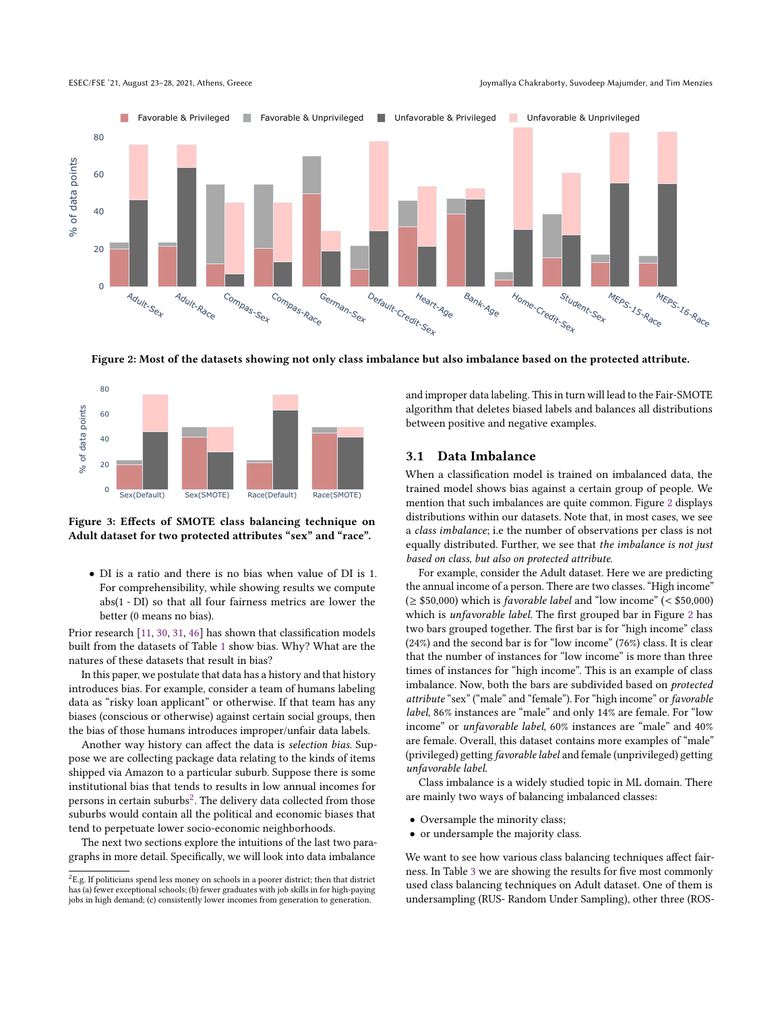<span id="page-3-1"></span>ESEC/FSE '21, August 23-28, 2021, Athens, Greece Joyman Joymallya Chakraborty, Suvodeep Majumder, and Tim Menzies



Figure 2: Most of the datasets showing not only class imbalance but also imbalance based on the protected attribute.

<span id="page-3-2"></span>

Figure 3: Effects of SMOTE class balancing technique on Adult dataset for two protected attributes "sex" and "race".

• DI is a ratio and there is no bias when value of DI is 1. For comprehensibility, while showing results we compute abs(1 - DI) so that all four fairness metrics are lower the better (0 means no bias).

Prior research [\[11,](#page-10-9) [30,](#page-10-16) [31,](#page-10-17) [46\]](#page-11-5) has shown that classification models built from the datasets of Table [1](#page-2-0) show bias. Why? What are the natures of these datasets that result in bias?

In this paper, we postulate that data has a history and that history introduces bias. For example, consider a team of humans labeling data as "risky loan applicant" or otherwise. If that team has any biases (conscious or otherwise) against certain social groups, then the bias of those humans introduces improper/unfair data labels.

Another way history can affect the data is selection bias. Suppose we are collecting package data relating to the kinds of items shipped via Amazon to a particular suburb. Suppose there is some institutional bias that tends to results in low annual incomes for persons in certain suburbs $^2.$  $^2.$  $^2.$  The delivery data collected from those suburbs would contain all the political and economic biases that tend to perpetuate lower socio-economic neighborhoods.

The next two sections explore the intuitions of the last two paragraphs in more detail. Specifically, we will look into data imbalance

and improper data labeling. This in turn will lead to the Fair-SMOTE algorithm that deletes biased labels and balances all distributions between positive and negative examples.

#### 3.1 Data Imbalance

When a classification model is trained on imbalanced data, the trained model shows bias against a certain group of people. We mention that such imbalances are quite common. Figure [2](#page-3-1) displays distributions within our datasets. Note that, in most cases, we see a class imbalance; i.e the number of observations per class is not equally distributed. Further, we see that the imbalance is not just based on class, but also on protected attribute.

For example, consider the Adult dataset. Here we are predicting the annual income of a person. There are two classes. "High income"  $(\geq$  \$50,000) which is *favorable label* and "low income" (< \$50,000) which is unfavorable label. The first grouped bar in Figure [2](#page-3-1) has two bars grouped together. The first bar is for "high income" class (24%) and the second bar is for "low income" (76%) class. It is clear that the number of instances for "low income" is more than three times of instances for "high income". This is an example of class imbalance. Now, both the bars are subdivided based on protected attribute "sex" ("male" and "female"). For "high income" or favorable label, 86% instances are "male" and only 14% are female. For "low income" or unfavorable label, 60% instances are "male" and 40% are female. Overall, this dataset contains more examples of "male" (privileged) getting favorable label and female (unprivileged) getting unfavorable label.

Class imbalance is a widely studied topic in ML domain. There are mainly two ways of balancing imbalanced classes:

- Oversample the minority class;
- or undersample the majority class.

We want to see how various class balancing techniques affect fairness. In Table [3](#page-4-0) we are showing the results for five most commonly used class balancing techniques on Adult dataset. One of them is undersampling (RUS- Random Under Sampling), other three (ROS-

<span id="page-3-0"></span> ${}^{2}$ E.g. If politicians spend less money on schools in a poorer district; then that district has (a) fewer exceptional schools; (b) fewer graduates with job skills in for high-paying jobs in high demand; (c) consistently lower incomes from generation to generation.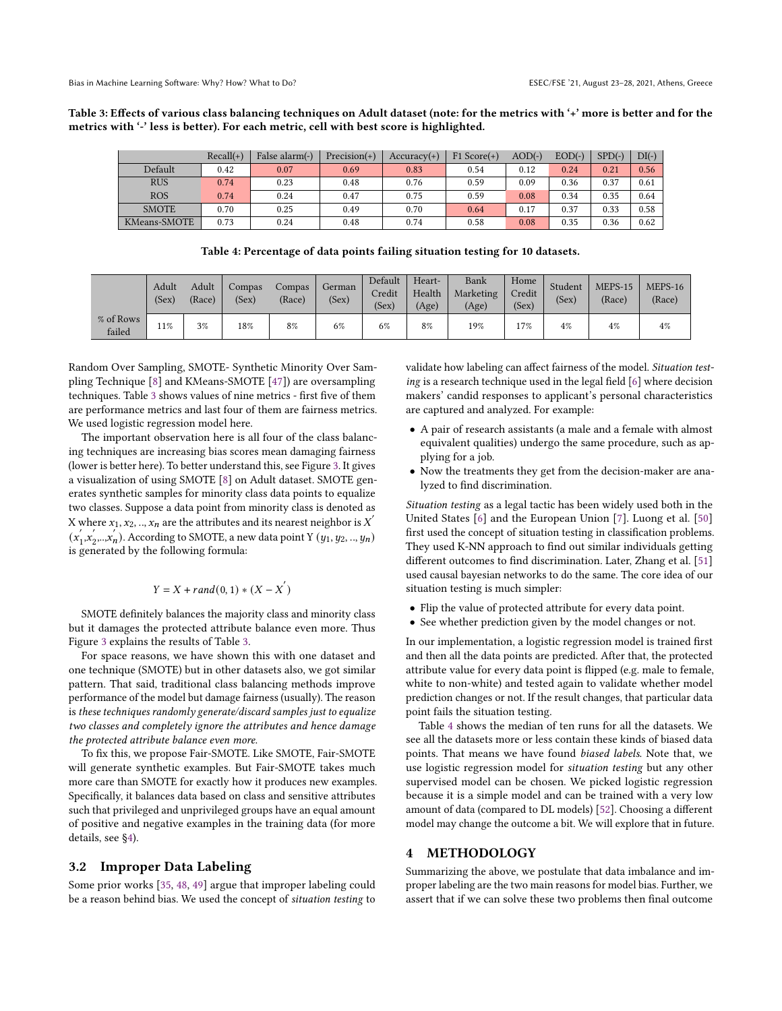<span id="page-4-0"></span>Table 3: Effects of various class balancing techniques on Adult dataset (note: for the metrics with '+' more is better and for the metrics with '-' less is better). For each metric, cell with best score is highlighted.

|              | $Recall(+)$ | False alarm(-) | $Precision(+)$ | $Accuracy(+)$ | $F1 Score(+)$ | $AOD(-)$ | $EOD(-)$ | $SPD(-)$ | $DI(-)$ |
|--------------|-------------|----------------|----------------|---------------|---------------|----------|----------|----------|---------|
| Default      | 0.42        | 0.07           | 0.69           | 0.83          | 0.54          | 0.12     | 0.24     | 0.21     | 0.56    |
| <b>RUS</b>   | 0.74        | 0.23           | 0.48           | 0.76          | 0.59          | 0.09     | 0.36     | 0.37     | 0.61    |
| <b>ROS</b>   | 0.74        | 0.24           | 0.47           | 0.75          | 0.59          | 0.08     | 0.34     | 0.35     | 0.64    |
| <b>SMOTE</b> | 0.70        | 0.25           | 0.49           | 0.70          | 0.64          | 0.17     | 0.37     | 0.33     | 0.58    |
| KMeans-SMOTE | 0.73        | 0.24           | 0.48           | 0.74          | 0.58          | 0.08     | 0.35     | 0.36     | 0.62    |

Table 4: Percentage of data points failing situation testing for 10 datasets.

<span id="page-4-2"></span>

|                     | Adult<br>(Sex) | Adult<br>(Race) | Compas<br>(Sex) | Compas<br>(Race) | German<br>(Sex) | Default<br>Credit<br>(Sex) | Heart-<br>Health<br>(Age) | Bank<br>Marketing<br>(Age) | Home<br>Credit<br>(Sex) | Student<br>(Sex) | MEPS-15<br>(Race) | MEPS-16<br>(Race) |
|---------------------|----------------|-----------------|-----------------|------------------|-----------------|----------------------------|---------------------------|----------------------------|-------------------------|------------------|-------------------|-------------------|
| % of Rows<br>failed | 11%            | 3%              | 18%             | 8%               | 6%              | 6%                         | 8%                        | 19%                        | 17%                     | 4%               | 4%                | 4%                |

Random Over Sampling, SMOTE- Synthetic Minority Over Sampling Technique [\[8\]](#page-10-7) and KMeans-SMOTE [\[47\]](#page-11-6)) are oversampling techniques. Table [3](#page-4-0) shows values of nine metrics - first five of them are performance metrics and last four of them are fairness metrics. We used logistic regression model here.

The important observation here is all four of the class balancing techniques are increasing bias scores mean damaging fairness (lower is better here). To better understand this, see Figure [3.](#page-3-2) It gives a visualization of using SMOTE [\[8\]](#page-10-7) on Adult dataset. SMOTE generates synthetic samples for minority class data points to equalize two classes. Suppose a data point from minority class is denoted as X where  $x_1, x_2, ..., x_n$  are the attributes and its nearest neighbor is  $X'$  $(x_1)$  $x_1'$ ,  $x_2'$  $\sum_{2}^{'}$   $\ldots$  $\overline{x_n'}$ ). According to SMOTE, a new data point Y  $(y_1, y_2, \ldots, y_n)$ is generated by the following formula:

$$
Y = X + rand(0, 1) * (X - X^{'} )
$$

SMOTE definitely balances the majority class and minority class but it damages the protected attribute balance even more. Thus Figure [3](#page-3-2) explains the results of Table [3.](#page-4-0)

For space reasons, we have shown this with one dataset and one technique (SMOTE) but in other datasets also, we got similar pattern. That said, traditional class balancing methods improve performance of the model but damage fairness (usually). The reason is these techniques randomly generate/discard samples just to equalize two classes and completely ignore the attributes and hence damage the protected attribute balance even more.

To fix this, we propose Fair-SMOTE. Like SMOTE, Fair-SMOTE will generate synthetic examples. But Fair-SMOTE takes much more care than SMOTE for exactly how it produces new examples. Specifically, it balances data based on class and sensitive attributes such that privileged and unprivileged groups have an equal amount of positive and negative examples in the training data (for more details, see [§4\)](#page-4-1).

## <span id="page-4-3"></span>3.2 Improper Data Labeling

Some prior works [\[35,](#page-10-22) [48,](#page-11-7) [49\]](#page-11-8) argue that improper labeling could be a reason behind bias. We used the concept of situation testing to validate how labeling can affect fairness of the model. Situation testing is a research technique used in the legal field [\[6\]](#page-10-5) where decision makers' candid responses to applicant's personal characteristics are captured and analyzed. For example:

- A pair of research assistants (a male and a female with almost equivalent qualities) undergo the same procedure, such as applying for a job.
- Now the treatments they get from the decision-maker are analyzed to find discrimination.

Situation testing as a legal tactic has been widely used both in the United States [\[6\]](#page-10-5) and the European Union [\[7\]](#page-10-6). Luong et al. [\[50\]](#page-11-9) first used the concept of situation testing in classification problems. They used K-NN approach to find out similar individuals getting different outcomes to find discrimination. Later, Zhang et al. [\[51\]](#page-11-10) used causal bayesian networks to do the same. The core idea of our situation testing is much simpler:

- Flip the value of protected attribute for every data point.
- See whether prediction given by the model changes or not.

In our implementation, a logistic regression model is trained first and then all the data points are predicted. After that, the protected attribute value for every data point is flipped (e.g. male to female, white to non-white) and tested again to validate whether model prediction changes or not. If the result changes, that particular data point fails the situation testing.

Table [4](#page-4-2) shows the median of ten runs for all the datasets. We see all the datasets more or less contain these kinds of biased data points. That means we have found biased labels. Note that, we use logistic regression model for situation testing but any other supervised model can be chosen. We picked logistic regression because it is a simple model and can be trained with a very low amount of data (compared to DL models) [\[52\]](#page-11-11). Choosing a different model may change the outcome a bit. We will explore that in future.

## <span id="page-4-1"></span>4 METHODOLOGY

Summarizing the above, we postulate that data imbalance and improper labeling are the two main reasons for model bias. Further, we assert that if we can solve these two problems then final outcome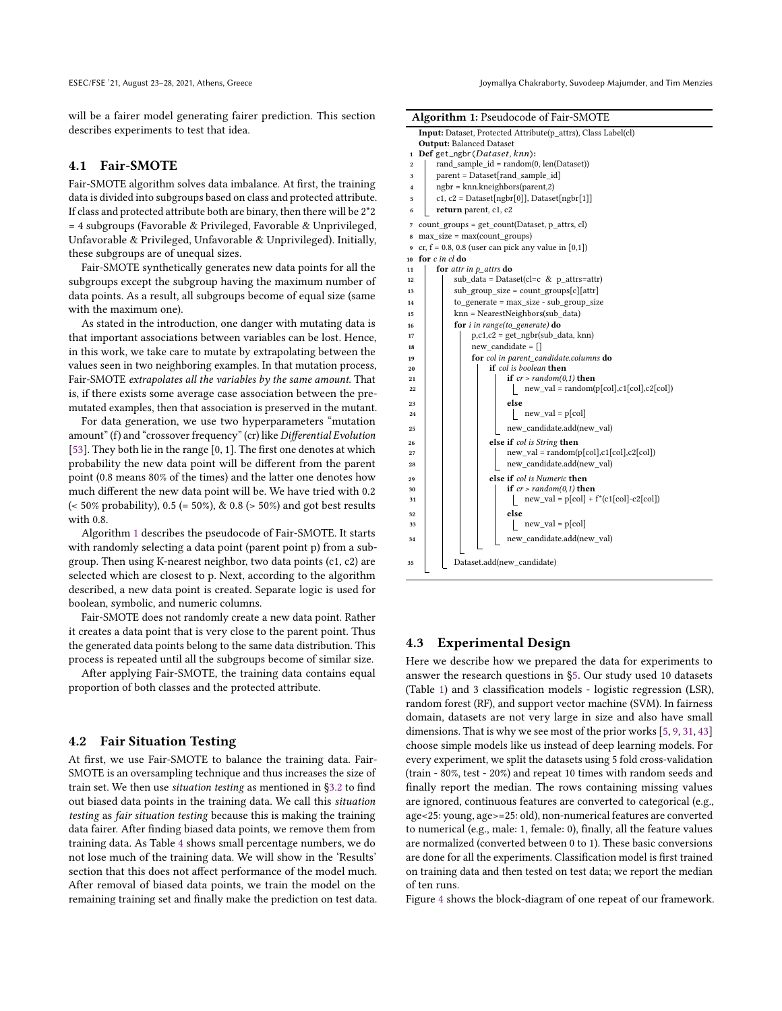will be a fairer model generating fairer prediction. This section describes experiments to test that idea.

#### 4.1 Fair-SMOTE

Fair-SMOTE algorithm solves data imbalance. At first, the training data is divided into subgroups based on class and protected attribute. If class and protected attribute both are binary, then there will be 2\*2 = 4 subgroups (Favorable & Privileged, Favorable & Unprivileged, Unfavorable & Privileged, Unfavorable & Unprivileged). Initially, these subgroups are of unequal sizes.

Fair-SMOTE synthetically generates new data points for all the subgroups except the subgroup having the maximum number of data points. As a result, all subgroups become of equal size (same with the maximum one).

As stated in the introduction, one danger with mutating data is that important associations between variables can be lost. Hence, in this work, we take care to mutate by extrapolating between the values seen in two neighboring examples. In that mutation process, Fair-SMOTE extrapolates all the variables by the same amount. That is, if there exists some average case association between the premutated examples, then that association is preserved in the mutant.

For data generation, we use two hyperparameters "mutation amount" (f) and "crossover frequency" (cr) like Differential Evolution [\[53\]](#page-11-12). They both lie in the range [0, 1]. The first one denotes at which probability the new data point will be different from the parent point (0.8 means 80% of the times) and the latter one denotes how much different the new data point will be. We have tried with 0.2  $($  < 50% probability), 0.5 (= 50%), & 0.8 (> 50%) and got best results with 0.8.

Algorithm [1](#page-5-0) describes the pseudocode of Fair-SMOTE. It starts with randomly selecting a data point (parent point p) from a subgroup. Then using K-nearest neighbor, two data points (c1, c2) are selected which are closest to p. Next, according to the algorithm described, a new data point is created. Separate logic is used for boolean, symbolic, and numeric columns.

Fair-SMOTE does not randomly create a new data point. Rather it creates a data point that is very close to the parent point. Thus the generated data points belong to the same data distribution. This process is repeated until all the subgroups become of similar size.

After applying Fair-SMOTE, the training data contains equal proportion of both classes and the protected attribute.

#### 4.2 Fair Situation Testing

At first, we use Fair-SMOTE to balance the training data. Fair-SMOTE is an oversampling technique and thus increases the size of train set. We then use situation testing as mentioned in [§3.2](#page-4-3) to find out biased data points in the training data. We call this situation testing as fair situation testing because this is making the training data fairer. After finding biased data points, we remove them from training data. As Table [4](#page-4-2) shows small percentage numbers, we do not lose much of the training data. We will show in the 'Results' section that this does not affect performance of the model much. After removal of biased data points, we train the model on the remaining training set and finally make the prediction on test data.

| <b>Algorithm 1: Pseudocode of Fair-SMOTE</b>                         |
|----------------------------------------------------------------------|
| <b>Input:</b> Dataset, Protected Attribute(p attrs), Class Label(cl) |
| <b>Output: Balanced Dataset</b>                                      |
| 1 Def gat nghr <i>(Dataset knn</i> ):                                |

| 1                       | Def get_ngbr(Dataset, knn):                             |  |  |  |  |  |  |  |  |  |  |  |  |
|-------------------------|---------------------------------------------------------|--|--|--|--|--|--|--|--|--|--|--|--|
| $\overline{2}$          | rand sample $id = random(0, len(Dataset))$              |  |  |  |  |  |  |  |  |  |  |  |  |
| 3                       | parent = Dataset[rand sample id]                        |  |  |  |  |  |  |  |  |  |  |  |  |
| $\overline{\mathbf{4}}$ | $ngbr = knn.kneighbors(parent,2)$                       |  |  |  |  |  |  |  |  |  |  |  |  |
| 5                       | $c1, c2 = DataFrame$ Dataset[ngbr[0]], Dataset[ngbr[1]] |  |  |  |  |  |  |  |  |  |  |  |  |
| 6                       | return parent, c1, c2                                   |  |  |  |  |  |  |  |  |  |  |  |  |
| 7                       | count_groups = get_count(Dataset, p_attrs, cl)          |  |  |  |  |  |  |  |  |  |  |  |  |
| 8                       | $max_size = max(count\_groups)$                         |  |  |  |  |  |  |  |  |  |  |  |  |
| 9                       | cr, $f = 0.8$ , 0.8 (user can pick any value in [0,1])  |  |  |  |  |  |  |  |  |  |  |  |  |
| 10                      | for c in cl do                                          |  |  |  |  |  |  |  |  |  |  |  |  |
| 11                      | for attr in $p$ attrs do                                |  |  |  |  |  |  |  |  |  |  |  |  |
| 12                      | sub data = Dataset(cl=c & p attrs=attr)                 |  |  |  |  |  |  |  |  |  |  |  |  |
| 13                      | $sub\_group\_size = count\_groups[c][attr]$             |  |  |  |  |  |  |  |  |  |  |  |  |
| 14                      | to generate = $max size - sub group size$               |  |  |  |  |  |  |  |  |  |  |  |  |
| 15                      | knn = NearestNeighbors(sub data)                        |  |  |  |  |  |  |  |  |  |  |  |  |
| 16                      | for <i>i</i> in range(to generate) do                   |  |  |  |  |  |  |  |  |  |  |  |  |
| 17                      | $p, c1, c2 = get_ngbr(sub_data, knn)$                   |  |  |  |  |  |  |  |  |  |  |  |  |
| 18                      | new candidate $= \lceil \rceil$                         |  |  |  |  |  |  |  |  |  |  |  |  |
| 19                      | for col in parent candidate.columns do                  |  |  |  |  |  |  |  |  |  |  |  |  |
| 20                      | <b>if</b> col is boolean <b>then</b>                    |  |  |  |  |  |  |  |  |  |  |  |  |
| 21                      | if $cr$ > random(0,1) then                              |  |  |  |  |  |  |  |  |  |  |  |  |
| 22                      | new val = random( $p[col], c1[col], c2[col]$ )          |  |  |  |  |  |  |  |  |  |  |  |  |
| 23                      | else                                                    |  |  |  |  |  |  |  |  |  |  |  |  |
| 24                      | new val = $p[col]$                                      |  |  |  |  |  |  |  |  |  |  |  |  |
| 25                      | new candidate.add(new val)                              |  |  |  |  |  |  |  |  |  |  |  |  |
| 26                      | else if col is String then                              |  |  |  |  |  |  |  |  |  |  |  |  |
| 27                      | $new_val = random(p[col], c1[col], c2[col])$            |  |  |  |  |  |  |  |  |  |  |  |  |
| 28                      | new candidate.add(new val)                              |  |  |  |  |  |  |  |  |  |  |  |  |
| 29                      | else if col is Numeric then                             |  |  |  |  |  |  |  |  |  |  |  |  |
| 30                      | if $cr$ > random(0,1) then                              |  |  |  |  |  |  |  |  |  |  |  |  |
| 31                      | $new_val = p[col] + f*(c1[col]-c2[col])$                |  |  |  |  |  |  |  |  |  |  |  |  |
| 32                      | else                                                    |  |  |  |  |  |  |  |  |  |  |  |  |
| 33                      | new val = $p[col]$                                      |  |  |  |  |  |  |  |  |  |  |  |  |
| 34                      | new candidate.add(new val)                              |  |  |  |  |  |  |  |  |  |  |  |  |
| 35                      | Dataset.add(new candidate)                              |  |  |  |  |  |  |  |  |  |  |  |  |

#### <span id="page-5-0"></span>4.3 Experimental Design

Here we describe how we prepared the data for experiments to answer the research questions in [§5.](#page-6-0) Our study used 10 datasets (Table [1\)](#page-2-0) and 3 classification models - logistic regression (LSR), random forest (RF), and support vector machine (SVM). In fairness domain, datasets are not very large in size and also have small dimensions. That is why we see most of the prior works [\[5,](#page-10-4) [9,](#page-10-8) [31,](#page-10-17) [43\]](#page-11-3) choose simple models like us instead of deep learning models. For every experiment, we split the datasets using 5 fold cross-validation (train - 80%, test - 20%) and repeat 10 times with random seeds and finally report the median. The rows containing missing values are ignored, continuous features are converted to categorical (e.g., age<25: young, age>=25: old), non-numerical features are converted to numerical (e.g., male: 1, female: 0), finally, all the feature values are normalized (converted between 0 to 1). These basic conversions are done for all the experiments. Classification model is first trained on training data and then tested on test data; we report the median of ten runs.

Figure [4](#page-6-1) shows the block-diagram of one repeat of our framework.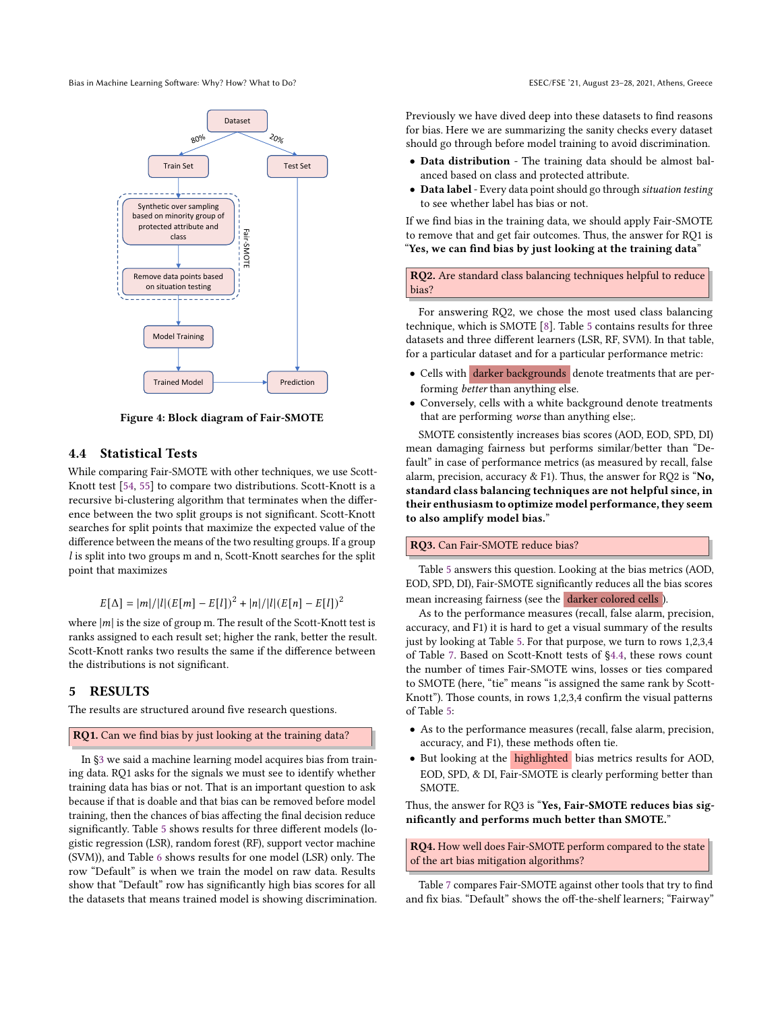<span id="page-6-1"></span>

Figure 4: Block diagram of Fair-SMOTE

#### <span id="page-6-2"></span>4.4 Statistical Tests

While comparing Fair-SMOTE with other techniques, we use Scott-Knott test [\[54,](#page-11-13) [55\]](#page-11-14) to compare two distributions. Scott-Knott is a recursive bi-clustering algorithm that terminates when the difference between the two split groups is not significant. Scott-Knott searches for split points that maximize the expected value of the difference between the means of the two resulting groups. If a group l is split into two groups m and n, Scott-Knott searches for the split point that maximizes

$$
E[\Delta] = |m|/|l|(E[m] - E[l])^2 + |n|/|l|(E[n] - E[l])^2
$$

where  $|m|$  is the size of group m. The result of the Scott-Knott test is ranks assigned to each result set; higher the rank, better the result. Scott-Knott ranks two results the same if the difference between the distributions is not significant.

## <span id="page-6-0"></span>5 RESULTS

The results are structured around five research questions.

## RQ1. Can we find bias by just looking at the training data?

In [§3](#page-2-2) we said a machine learning model acquires bias from training data. RQ1 asks for the signals we must see to identify whether training data has bias or not. That is an important question to ask because if that is doable and that bias can be removed before model training, then the chances of bias affecting the final decision reduce significantly. Table [5](#page-7-0) shows results for three different models (logistic regression (LSR), random forest (RF), support vector machine (SVM)), and Table [6](#page-8-0) shows results for one model (LSR) only. The row "Default" is when we train the model on raw data. Results show that "Default" row has significantly high bias scores for all the datasets that means trained model is showing discrimination.

Previously we have dived deep into these datasets to find reasons for bias. Here we are summarizing the sanity checks every dataset should go through before model training to avoid discrimination.

- Data distribution The training data should be almost balanced based on class and protected attribute.
- Data label Every data point should go through situation testing to see whether label has bias or not.

If we find bias in the training data, we should apply Fair-SMOTE to remove that and get fair outcomes. Thus, the answer for RQ1 is "Yes, we can find bias by just looking at the training data"

RQ2. Are standard class balancing techniques helpful to reduce bias?

For answering RQ2, we chose the most used class balancing technique, which is SMOTE [\[8\]](#page-10-7). Table [5](#page-7-0) contains results for three datasets and three different learners (LSR, RF, SVM). In that table, for a particular dataset and for a particular performance metric:

- Cells with darker backgrounds denote treatments that are performing better than anything else.
- Conversely, cells with a white background denote treatments that are performing worse than anything else;.

SMOTE consistently increases bias scores (AOD, EOD, SPD, DI) mean damaging fairness but performs similar/better than "Default" in case of performance metrics (as measured by recall, false alarm, precision, accuracy & F1). Thus, the answer for RQ2 is "No, standard class balancing techniques are not helpful since, in their enthusiasm to optimize model performance, they seem to also amplify model bias."

#### RQ3. Can Fair-SMOTE reduce bias?

Table [5](#page-7-0) answers this question. Looking at the bias metrics (AOD, EOD, SPD, DI), Fair-SMOTE significantly reduces all the bias scores mean increasing fairness (see the darker colored cells ).

As to the performance measures (recall, false alarm, precision, accuracy, and F1) it is hard to get a visual summary of the results just by looking at Table [5.](#page-7-0) For that purpose, we turn to rows 1,2,3,4 of Table [7.](#page-9-0) Based on Scott-Knott tests of [§4.4,](#page-6-2) these rows count the number of times Fair-SMOTE wins, losses or ties compared to SMOTE (here, "tie" means "is assigned the same rank by Scott-Knott"). Those counts, in rows 1,2,3,4 confirm the visual patterns of Table [5:](#page-7-0)

- As to the performance measures (recall, false alarm, precision, accuracy, and F1), these methods often tie.
- But looking at the **highlighted** bias metrics results for AOD, EOD, SPD, & DI, Fair-SMOTE is clearly performing better than SMOTE.

Thus, the answer for RQ3 is "Yes, Fair-SMOTE reduces bias significantly and performs much better than SMOTE."

RQ4. How well does Fair-SMOTE perform compared to the state of the art bias mitigation algorithms?

Table [7](#page-9-0) compares Fair-SMOTE against other tools that try to find and fix bias. "Default" shows the off-the-shelf learners; "Fairway"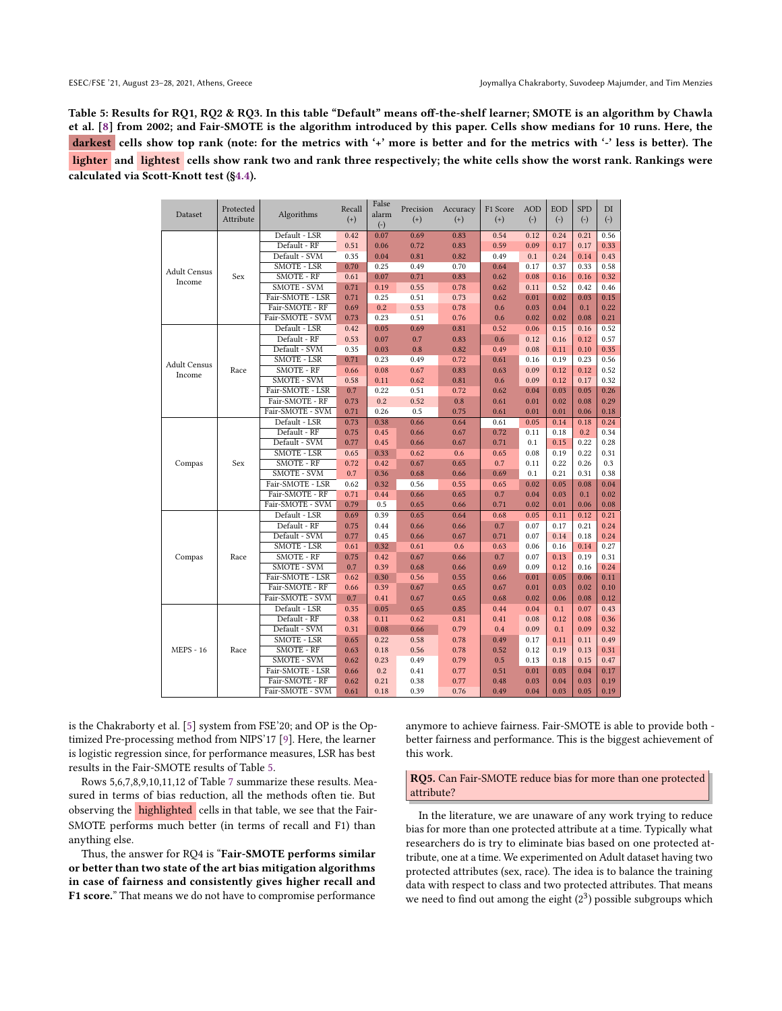<span id="page-7-0"></span>Table 5: Results for RQ1, RQ2 & RQ3. In this table "Default" means off-the-shelf learner; SMOTE is an algorithm by Chawla et al. [\[8\]](#page-10-7) from 2002; and Fair-SMOTE is the algorithm introduced by this paper. Cells show medians for 10 runs. Here, the darkest cells show top rank (note: for the metrics with '+' more is better and for the metrics with '-' less is better). The lighter and lightest cells show rank two and rank three respectively; the white cells show the worst rank. Rankings were calculated via Scott-Knott test ([§4.4\)](#page-6-2).

|                     | Protected |                    | Recall | False | Precision | Accuracy | F1 Score | <b>AOD</b> | <b>EOD</b> | <b>SPD</b> | DI    |
|---------------------|-----------|--------------------|--------|-------|-----------|----------|----------|------------|------------|------------|-------|
| Dataset             | Attribute | Algorithms         | $(+)$  | alarm | $^{(+)}$  | $^{(+)}$ | $^{(+)}$ | $(\cdot)$  | $(\cdot)$  | $(\cdot)$  | $(-)$ |
|                     |           |                    |        | $(-)$ |           |          |          |            |            |            |       |
|                     |           | Default - LSR      | 0.42   | 0.07  | 0.69      | 0.83     | 0.54     | 0.12       | 0.24       | 0.21       | 0.56  |
|                     |           | Default - RF       | 0.51   | 0.06  | 0.72      | 0.83     | 0.59     | 0.09       | 0.17       | 0.17       | 0.33  |
|                     |           | Default - SVM      | 0.35   | 0.04  | 0.81      | 0.82     | 0.49     | 0.1        | 0.24       | 0.14       | 0.43  |
| <b>Adult Census</b> |           | <b>SMOTE - LSR</b> | 0.70   | 0.25  | 0.49      | 0.70     | 0.64     | 0.17       | 0.37       | 0.33       | 0.58  |
| Income              | Sex       | <b>SMOTE - RF</b>  | 0.61   | 0.07  | 0.71      | 0.83     | 0.62     | 0.08       | 0.16       | 0.16       | 0.32  |
|                     |           | <b>SMOTE - SVM</b> | 0.71   | 0.19  | 0.55      | 0.78     | 0.62     | 0.11       | 0.52       | 0.42       | 0.46  |
|                     |           | Fair-SMOTE - LSR   | 0.71   | 0.25  | 0.51      | 0.73     | 0.62     | 0.01       | 0.02       | 0.03       | 0.15  |
|                     |           | Fair-SMOTE - RF    | 0.69   | 0.2   | 0.53      | 0.78     | 0.6      | 0.03       | 0.04       | 0.1        | 0.22  |
|                     |           | Fair-SMOTE - SVM   | 0.73   | 0.23  | 0.51      | 0.76     | 0.6      | 0.02       | 0.02       | 0.08       | 0.21  |
|                     |           | Default - LSR      | 0.42   | 0.05  | 0.69      | 0.81     | 0.52     | 0.06       | 0.15       | 0.16       | 0.52  |
|                     |           | Default - RF       | 0.53   | 0.07  | 0.7       | 0.83     | 0.6      | 0.12       | 0.16       | 0.12       | 0.57  |
|                     |           | Default - SVM      | 0.35   | 0.03  | 0.8       | 0.82     | 0.49     | 0.08       | 0.11       | 0.10       | 0.35  |
| <b>Adult Census</b> |           | SMOTE - LSR        | 0.71   | 0.23  | 0.49      | 0.72     | 0.61     | 0.16       | 0.19       | 0.23       | 0.56  |
| Income              | Race      | SMOTE - RF         | 0.66   | 0.08  | 0.67      | 0.83     | 0.63     | 0.09       | 0.12       | 0.12       | 0.52  |
|                     |           | <b>SMOTE - SVM</b> | 0.58   | 0.11  | 0.62      | 0.81     | 0.6      | 0.09       | 0.12       | 0.17       | 0.32  |
|                     |           | Fair-SMOTE - LSR   | 0.7    | 0.22  | 0.51      | 0.72     | 0.62     | 0.04       | 0.03       | 0.05       | 0.26  |
|                     |           | Fair-SMOTE - RF    | 0.73   | 0.2   | 0.52      | 0.8      | 0.61     | 0.01       | 0.02       | 0.08       | 0.29  |
|                     |           | Fair-SMOTE - SVM   | 0.71   | 0.26  | 0.5       | 0.75     | 0.61     | 0.01       | 0.01       | 0.06       | 0.18  |
|                     | Sex       | Default - LSR      | 0.73   | 0.38  | 0.66      | 0.64     | 0.61     | 0.05       | 0.14       | 0.18       | 0.24  |
|                     |           | Default - RF       | 0.75   | 0.45  | 0.66      | 0.67     | 0.72     | 0.11       | 0.18       | 0.2        | 0.34  |
|                     |           | Default - SVM      | 0.77   | 0.45  | 0.66      | 0.67     | 0.71     | 0.1        | 0.15       | 0.22       | 0.28  |
|                     |           | <b>SMOTE - LSR</b> | 0.65   | 0.33  | 0.62      | 0.6      | 0.65     | 0.08       | 0.19       | 0.22       | 0.31  |
| Compas              |           | SMOTE - RF         | 0.72   | 0.42  | 0.67      | 0.65     | 0.7      | 0.11       | 0.22       | 0.26       | 0.3   |
|                     |           | SMOTE - SVM        | 0.7    | 0.36  | 0.68      | 0.66     | 0.69     | 0.1        | 0.21       | 0.31       | 0.38  |
|                     |           | Fair-SMOTE - LSR   | 0.62   | 0.32  | 0.56      | 0.55     | 0.65     | 0.02       | 0.05       | 0.08       | 0.04  |
|                     |           | Fair-SMOTE - RF    | 0.71   | 0.44  | 0.66      | 0.65     | 0.7      | 0.04       | 0.03       | 0.1        | 0.02  |
|                     |           | Fair-SMOTE - SVM   | 0.79   | 0.5   | 0.65      | 0.66     | 0.71     | 0.02       | 0.01       | 0.06       | 0.08  |
|                     |           | Default - LSR      | 0.69   | 0.39  | 0.65      | 0.64     | 0.68     | 0.05       | 0.11       | 0.12       | 0.21  |
|                     |           | Default - RF       | 0.75   | 0.44  | 0.66      | 0.66     | 0.7      | 0.07       | 0.17       | 0.21       | 0.24  |
|                     |           | Default - SVM      | 0.77   | 0.45  | 0.66      | 0.67     | 0.71     | 0.07       | 0.14       | 0.18       | 0.24  |
|                     |           | <b>SMOTE - LSR</b> | 0.61   | 0.32  | 0.61      | 0.6      | 0.63     | 0.06       | 0.16       | 0.14       | 0.27  |
| Compas              | Race      | SMOTE - RF         | 0.75   | 0.42  | 0.67      | 0.66     | 0.7      | 0.07       | 0.13       | 0.19       | 0.31  |
|                     |           | <b>SMOTE - SVM</b> | 0.7    | 0.39  | 0.68      | 0.66     | 0.69     | 0.09       | 0.12       | 0.16       | 0.24  |
|                     |           | Fair-SMOTE - LSR   | 0.62   | 0.30  | 0.56      | 0.55     | 0.66     | 0.01       | 0.05       | 0.06       | 0.11  |
|                     |           | Fair-SMOTE - RF    | 0.66   | 0.39  | 0.67      | 0.65     | 0.67     | 0.01       | 0.03       | 0.02       | 0.10  |
|                     |           | Fair-SMOTE - SVM   | 0.7    | 0.41  | 0.67      | 0.65     | 0.68     | 0.02       | 0.06       | 0.08       | 0.12  |
|                     |           | Default - LSR      | 0.35   | 0.05  | 0.65      | 0.85     | 0.44     | 0.04       | 0.1        | 0.07       | 0.43  |
|                     |           | Default - RF       | 0.38   | 0.11  | 0.62      | 0.81     | 0.41     | 0.08       | 0.12       | 0.08       | 0.36  |
|                     |           | Default - SVM      | 0.31   | 0.08  | 0.66      | 0.79     | 0.4      | 0.09       | 0.1        | 0.09       | 0.32  |
|                     |           | SMOTE - LSR        | 0.65   | 0.22  | 0.58      | 0.78     | 0.49     | 0.17       | 0.11       | 0.11       | 0.49  |
| <b>MEPS - 16</b>    | Race      | SMOTE - RF         | 0.63   | 0.18  | 0.56      | 0.78     | 0.52     | 0.12       | 0.19       | 0.13       | 0.31  |
|                     |           | <b>SMOTE - SVM</b> | 0.62   | 0.23  | 0.49      | 0.79     | 0.5      | 0.13       | 0.18       | 0.15       | 0.47  |
|                     |           | Fair-SMOTE - LSR   | 0.66   | 0.2   | 0.41      | 0.77     | 0.51     | 0.01       | 0.03       | 0.04       | 0.17  |
|                     |           | Fair-SMOTE - RF    | 0.62   | 0.21  | 0.38      | 0.77     | 0.48     | 0.03       | 0.04       | 0.03       | 0.19  |
|                     |           | Fair-SMOTE - SVM   | 0.61   | 0.18  | 0.39      | 0.76     | 0.49     | 0.04       | 0.03       | 0.05       | 0.19  |

is the Chakraborty et al. [\[5\]](#page-10-4) system from FSE'20; and OP is the Optimized Pre-processing method from NIPS'17 [\[9\]](#page-10-8). Here, the learner is logistic regression since, for performance measures, LSR has best results in the Fair-SMOTE results of Table [5.](#page-7-0)

Rows 5,6,7,8,9,10,11,12 of Table [7](#page-9-0) summarize these results. Measured in terms of bias reduction, all the methods often tie. But observing the highlighted cells in that table, we see that the Fair-SMOTE performs much better (in terms of recall and F1) than anything else.

Thus, the answer for RQ4 is "Fair-SMOTE performs similar or better than two state of the art bias mitigation algorithms in case of fairness and consistently gives higher recall and F1 score." That means we do not have to compromise performance anymore to achieve fairness. Fair-SMOTE is able to provide both better fairness and performance. This is the biggest achievement of this work.

## RQ5. Can Fair-SMOTE reduce bias for more than one protected attribute?

In the literature, we are unaware of any work trying to reduce bias for more than one protected attribute at a time. Typically what researchers do is try to eliminate bias based on one protected attribute, one at a time. We experimented on Adult dataset having two protected attributes (sex, race). The idea is to balance the training data with respect to class and two protected attributes. That means we need to find out among the eight  $(2^3)$  possible subgroups which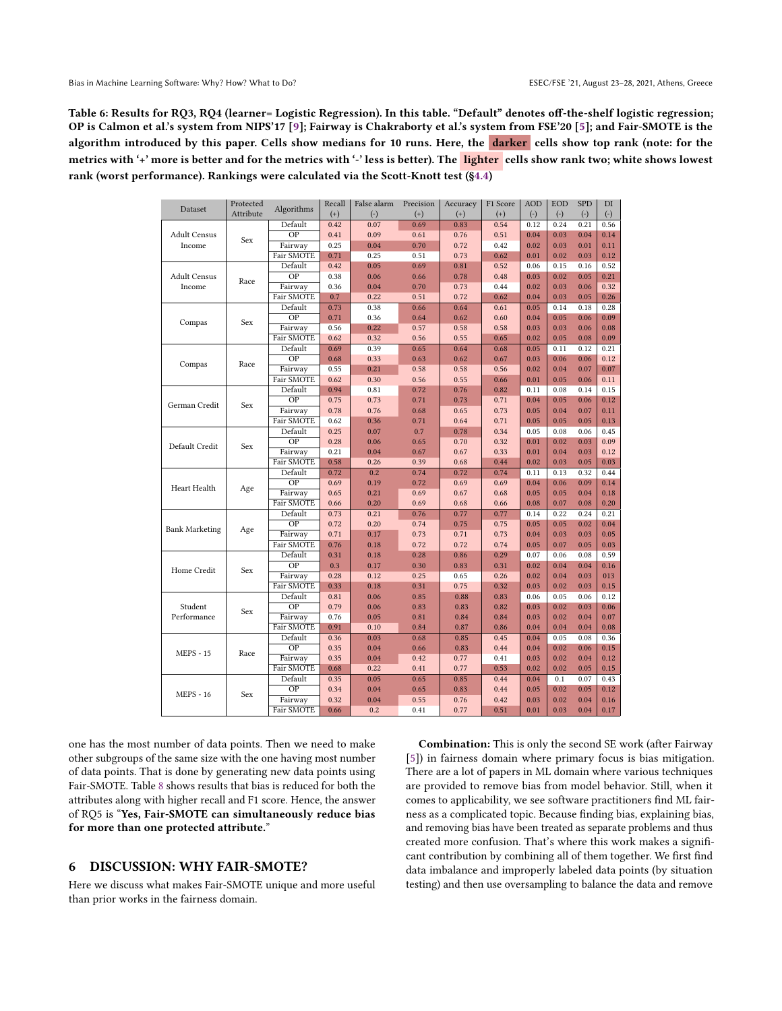<span id="page-8-0"></span>Table 6: Results for RQ3, RQ4 (learner= Logistic Regression). In this table. "Default" denotes off-the-shelf logistic regression; OP is Calmon et al.'s system from NIPS'17 [\[9\]](#page-10-8); Fairway is Chakraborty et al.'s system from FSE'20 [\[5\]](#page-10-4); and Fair-SMOTE is the algorithm introduced by this paper. Cells show medians for 10 runs. Here, the darker cells show top rank (note: for the metrics with '+' more is better and for the metrics with '-' less is better). The lighter cells show rank two; white shows lowest rank (worst performance). Rankings were calculated via the Scott-Knott test  $(\S4.4)$ 

| Algorithms<br>Dataset<br>Attribute<br>$(+)$<br>$(-)$<br>$(+)$<br>$^{(+)}$<br>$^{(+)}$<br>$(-)$<br>$(-)$<br>$(-)$ |              |
|------------------------------------------------------------------------------------------------------------------|--------------|
|                                                                                                                  | $(-)$        |
| Default<br>0.42<br>0.07<br>0.69<br>0.83<br>0.54<br>0.12<br>0.24<br>0.21                                          | 0.56         |
| $\overline{OP}$<br><b>Adult Census</b><br>0.41<br>0.09<br>0.76<br>0.51<br>0.61<br>0.04<br>0.03<br>0.04<br>Sex    | 0.14         |
| Income<br>Fairway<br>0.25<br>0.04<br>0.70<br>0.72<br>0.42<br>0.02<br>0.03<br>0.01                                | 0.11         |
| Fair SMOTE<br>0.71<br>0.25<br>0.51<br>0.73<br>0.62<br>0.02<br>0.03<br>0.01                                       | 0.12         |
| Default<br>0.52<br>0.15<br>0.42<br>0.05<br>0.69<br>0.81<br>0.06<br>0.16                                          | 0.52         |
| OP<br><b>Adult Census</b><br>0.38<br>0.06<br>0.66<br>0.78<br>0.48<br>0.03<br>0.02<br>0.05<br>Race                | 0.21         |
| Fairway<br>0.36<br>0.02<br>0.03<br>Income<br>0.04<br>0.70<br>0.73<br>0.44<br>0.06                                | 0.32         |
| Fair SMOTE<br>0.7<br>0.22<br>0.51<br>0.72<br>0.62<br>0.04<br>0.03<br>0.05                                        | 0.26         |
| Default<br>0.73<br>0.66<br>0.64<br>0.61<br>0.05<br>0.14<br>0.18<br>0.38                                          | 0.28         |
| OP<br>0.71<br>0.36<br>0.64<br>0.62<br>0.60<br>0.04<br>0.05<br>0.06                                               | 0.09         |
| Compas<br>Sex<br>Fairway<br>0.56<br>0.22<br>0.57<br>0.58<br>0.58<br>0.03<br>0.03<br>0.06                         | 0.08         |
| Fair SMOTE<br>0.62<br>0.55<br>0.02<br>0.05<br>0.08<br>0.32<br>0.56<br>0.65                                       | 0.09         |
| 0.69<br>Default<br>0.39<br>0.65<br>0.64<br>0.68<br>0.05<br>0.11<br>0.12                                          | 0.21         |
| $\overline{OP}$<br>0.68<br>0.33<br>0.62<br>0.03<br>0.63<br>0.67<br>0.06<br>0.06                                  | 0.12         |
| Compas<br>Race<br>Fairway<br>0.55<br>0.21<br>0.58<br>0.58<br>0.56<br>0.02<br>0.04<br>0.07                        | 0.07         |
| Fair SMOTE<br>0.62<br>0.30<br>0.56<br>0.55<br>0.01<br>0.05<br>0.06<br>0.66                                       | 0.11         |
| Default<br>0.08<br>0.14<br>0.94<br>0.81<br>0.72<br>0.76<br>0.82<br>0.11                                          | 0.15         |
| $\overline{OP}$<br>0.75<br>0.73<br>0.71<br>0.73<br>0.71<br>0.04<br>0.05<br>0.06                                  | 0.12         |
| German Credit<br>Sex<br>Fairway<br>0.78<br>0.76<br>0.73<br>0.05<br>0.04<br>0.07<br>0.68<br>0.65                  | 0.11         |
| Fair SMOTE<br>0.62<br>0.05<br>0.36<br>0.71<br>0.64<br>0.71<br>0.05<br>0.05                                       | 0.13         |
| Default<br>0.25<br>0.07<br>0.34<br>0.05<br>0.08<br>0.06<br>0.7<br>0.78                                           | 0.45         |
| $\overline{OP}$<br>0.28<br>0.32<br>0.06<br>0.65<br>0.70<br>0.01<br>0.02<br>0.03                                  | 0.09         |
| Default Credit<br>Sex<br>0.33<br>Fairway<br>0.21<br>0.04<br>0.67<br>0.67<br>0.01<br>0.04<br>0.03                 | 0.12         |
| Fair SMOTE<br>0.58<br>0.68<br>0.44<br>0.02<br>0.03<br>0.05<br>0.26<br>0.39                                       | 0.03         |
| 0.72<br>0.74<br>Default<br>0.2<br>0.74<br>0.72<br>0.11<br>0.13<br>0.32                                           | 0.44         |
| $\overline{OP}$<br>0.69<br>0.19<br>0.72<br>0.69<br>0.69<br>0.04<br>0.06<br>0.09                                  | 0.14         |
| Heart Health<br>Age<br>Fairway<br>0.68<br>0.05<br>0.05<br>0.04<br>0.65<br>0.21<br>0.69<br>0.67                   | 0.18         |
| Fair SMOTE<br>0.66<br>0.20<br>0.69<br>0.68<br>0.66<br>0.08<br>0.07<br>0.08                                       | 0.20         |
| Default<br>0.73<br>0.76<br>0.77<br>0.22<br>0.24<br>0.21<br>0.77<br>0.14                                          | 0.21         |
| $\overline{OP}$<br>0.72<br>0.20<br>0.74<br>0.75<br>0.75<br>0.05<br>0.05<br>0.02                                  | 0.04         |
| <b>Bank Marketing</b><br>Age<br>Fairway<br>0.71<br>0.73<br>0.73<br>0.04<br>0.03<br>0.03<br>0.17<br>0.71          | 0.05         |
| Fair SMOTE<br>0.76<br>0.72<br>0.72<br>0.74<br>0.07<br>0.05<br>0.18<br>0.05                                       | 0.03         |
| 0.06<br>0.08<br>Default<br>0.31<br>0.18<br>0.28<br>0.86<br>0.29<br>0.07                                          | 0.59         |
| $\overline{OP}$<br>0.3<br>0.17<br>0.30<br>0.83<br>0.31<br>0.04<br>0.02<br>0.04                                   | 0.16         |
| Home Credit<br>Sex<br>Fairway<br>0.28<br>0.26<br>0.04<br>0.12<br>0.25<br>0.65<br>0.02<br>0.03                    | 013          |
| Fair SMOTE<br>0.33<br>0.18<br>0.31<br>0.75<br>0.32<br>0.03<br>0.02<br>0.03                                       | 0.15         |
| 0.81<br>0.06<br>0.85<br>0.88<br>0.83<br>0.06<br>0.05<br>0.06<br>Default                                          | 0.12         |
| Student<br>OP<br>0.79<br>0.06<br>0.83<br>0.83<br>0.82<br>0.02<br>0.03<br>0.03                                    | 0.06         |
| Sex<br>Fairway<br>0.76<br>0.81<br>0.84<br>0.03<br>0.02<br>0.04<br>Performance<br>0.05<br>0.84                    | 0.07         |
| Fair SMOTE<br>0.91<br>0.10<br>0.04<br>0.04<br>0.84<br>0.87<br>0.86<br>0.04                                       | 0.08         |
| 0.05<br>0.08<br>Default<br>0.36<br>0.03<br>0.68<br>0.85<br>0.45<br>0.04                                          | 0.36         |
| $\overline{OP}$<br>0.35<br>0.44<br>0.04<br>0.66<br>0.83<br>0.04<br>0.02<br>0.06                                  | 0.15         |
| <b>MEPS - 15</b><br>Race<br>Fairway<br>0.35<br>0.04<br>0.77<br>0.41<br>0.03<br>0.02<br>0.04<br>0.42              | 0.12         |
| Fair SMOTE<br>0.68<br>0.22<br>0.77<br>0.53<br>0.02<br>0.02<br>0.05<br>0.41                                       | 0.15         |
| Default<br>0.07<br>0.35<br>0.05<br>0.65<br>0.85<br>0.44<br>0.04<br>0.1                                           | 0.43         |
| $\overline{OP}$<br>0.34<br>0.04<br>0.65<br>0.83<br>0.44<br>0.05<br>0.02<br>0.05                                  | 0.12         |
| <b>MEPS - 16</b><br>Sex<br>0.32<br>0.76<br>0.42<br>0.03<br>0.02<br>0.04<br>Fairway<br>0.04<br>0.55               | 0.16         |
|                                                                                                                  | 0.04<br>0.17 |

one has the most number of data points. Then we need to make other subgroups of the same size with the one having most number of data points. That is done by generating new data points using Fair-SMOTE. Table [8](#page-9-1) shows results that bias is reduced for both the attributes along with higher recall and F1 score. Hence, the answer of RQ5 is "Yes, Fair-SMOTE can simultaneously reduce bias for more than one protected attribute."

## 6 DISCUSSION: WHY FAIR-SMOTE?

Here we discuss what makes Fair-SMOTE unique and more useful than prior works in the fairness domain.

Combination: This is only the second SE work (after Fairway [\[5\]](#page-10-4)) in fairness domain where primary focus is bias mitigation. There are a lot of papers in ML domain where various techniques are provided to remove bias from model behavior. Still, when it comes to applicability, we see software practitioners find ML fairness as a complicated topic. Because finding bias, explaining bias, and removing bias have been treated as separate problems and thus created more confusion. That's where this work makes a significant contribution by combining all of them together. We first find data imbalance and improperly labeled data points (by situation testing) and then use oversampling to balance the data and remove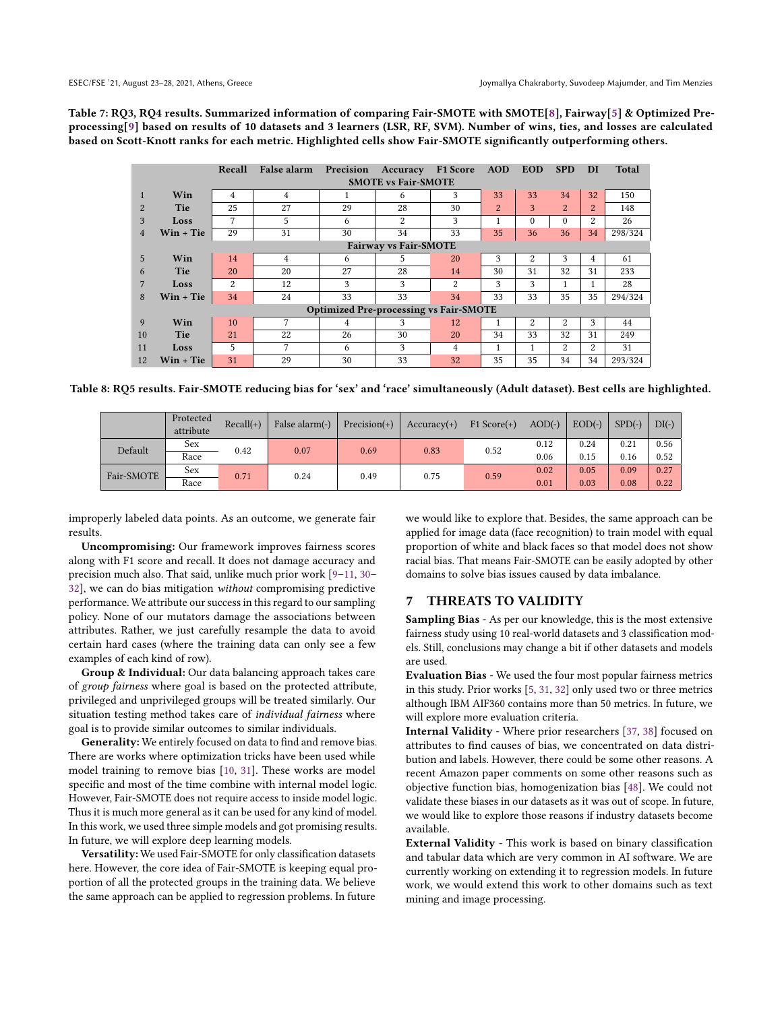<span id="page-9-0"></span>Table 7: RQ3, RQ4 results. Summarized information of comparing Fair-SMOTE with SMOTE[\[8\]](#page-10-7), Fairway[\[5\]](#page-10-4) & Optimized Preprocessing[\[9\]](#page-10-8) based on results of 10 datasets and 3 learners (LSR, RF, SVM). Number of wins, ties, and losses are calculated based on Scott-Knott ranks for each metric. Highlighted cells show Fair-SMOTE significantly outperforming others.

|                |                              | Recall | False alarm | Precision                                     | Accuracy                   | F1 Score | <b>AOD</b> | <b>EOD</b> | <b>SPD</b>     | DI             | <b>Total</b> |  |  |  |
|----------------|------------------------------|--------|-------------|-----------------------------------------------|----------------------------|----------|------------|------------|----------------|----------------|--------------|--|--|--|
|                |                              |        |             |                                               | <b>SMOTE vs Fair-SMOTE</b> |          |            |            |                |                |              |  |  |  |
| $\mathbf{1}$   | Win                          | 4      | 4           | 1                                             | 6                          | 3        | 33         | 33         | 34             | 32             | 150          |  |  |  |
| 2              | Tie                          | 25     | 27          | 29                                            | 28                         | 30       | 2          | 3          | $\overline{2}$ | $\overline{2}$ | 148          |  |  |  |
| 3              | Loss                         | 7      | 5.          | 6                                             | 2                          | 3        |            | $\Omega$   | $\theta$       | 2              | 26           |  |  |  |
| $\overline{4}$ | $Win + Tie$                  | 29     | 31          | 30                                            | 34                         | 33       | 35         | 36         | 36             | 34             | 298/324      |  |  |  |
|                | <b>Fairway vs Fair-SMOTE</b> |        |             |                                               |                            |          |            |            |                |                |              |  |  |  |
| $\overline{5}$ | Win                          | 14     | 4           | 6                                             | 5                          | 20       | 3          | 2          | 3              | 4              | 61           |  |  |  |
| 6              | Tie                          | 20     | 20          | 27                                            | 28                         | 14       | 30         | 31         | 32             | 31             | 233          |  |  |  |
|                | Loss                         | 2      | 12          | 3                                             | 3                          | 2        | 3          | 3          | 1              |                | 28           |  |  |  |
| 8              | $Win + Tie$                  | 34     | 24          | 33                                            | 33                         | 34       | 33         | 33         | 35             | 35             | 294/324      |  |  |  |
|                |                              |        |             | <b>Optimized Pre-processing vs Fair-SMOTE</b> |                            |          |            |            |                |                |              |  |  |  |
| 9              | Win                          | 10     | 7           | 4                                             | 3                          | 12       |            | 2          | 2              | 3              | 44           |  |  |  |
| 10             | Tie                          | 21     | 22          | 26                                            | 30                         | 20       | 34         | 33         | 32             | 31             | 249          |  |  |  |
| 11             | Loss                         | 5      | 7           | 6                                             | 3                          | 4        |            |            | 2              | 2              | 31           |  |  |  |
| 12             | <b>Win + Tie</b>             | 31     | 29          | 30                                            | 33                         | 32       | 35         | 35         | 34             | 34             | 293/324      |  |  |  |

<span id="page-9-1"></span>Table 8: RQ5 results. Fair-SMOTE reducing bias for 'sex' and 'race' simultaneously (Adult dataset). Best cells are highlighted.

|            | Protected<br>attribute | $Recall(+)$ | False alarm(-) | $Precision(+)$ | $Accuracy(+)$ | $F1 Score(+)$ | $AOD(-)$ | $EOD(-)$ | $SPD(-)$ | $DI(-)$ |
|------------|------------------------|-------------|----------------|----------------|---------------|---------------|----------|----------|----------|---------|
| Default    | Sex                    | 0.42        | 0.07           | 0.69           | 0.83          | 0.52          | 0.12     | 0.24     | 0.21     | 0.56    |
|            | Race                   |             |                |                |               |               | 0.06     | 0.15     | 0.16     | 0.52    |
| Fair-SMOTE | Sex                    | 0.71        | 0.24           | 0.49           | 0.75          | 0.59          | 0.02     | 0.05     | 0.09     | 0.27    |
|            | Race                   |             |                |                |               |               | 0.01     | 0.03     | 0.08     | 0.22    |

improperly labeled data points. As an outcome, we generate fair results.

Uncompromising: Our framework improves fairness scores along with F1 score and recall. It does not damage accuracy and precision much also. That said, unlike much prior work [\[9](#page-10-8)[–11,](#page-10-9) [30–](#page-10-16) [32\]](#page-10-19), we can do bias mitigation without compromising predictive performance. We attribute our success in this regard to our sampling policy. None of our mutators damage the associations between attributes. Rather, we just carefully resample the data to avoid certain hard cases (where the training data can only see a few examples of each kind of row).

Group & Individual: Our data balancing approach takes care of group fairness where goal is based on the protected attribute, privileged and unprivileged groups will be treated similarly. Our situation testing method takes care of individual fairness where goal is to provide similar outcomes to similar individuals.

Generality: We entirely focused on data to find and remove bias. There are works where optimization tricks have been used while model training to remove bias [\[10,](#page-10-18) [31\]](#page-10-17). These works are model specific and most of the time combine with internal model logic. However, Fair-SMOTE does not require access to inside model logic. Thus it is much more general as it can be used for any kind of model. In this work, we used three simple models and got promising results. In future, we will explore deep learning models.

Versatility: We used Fair-SMOTE for only classification datasets here. However, the core idea of Fair-SMOTE is keeping equal proportion of all the protected groups in the training data. We believe the same approach can be applied to regression problems. In future

we would like to explore that. Besides, the same approach can be applied for image data (face recognition) to train model with equal proportion of white and black faces so that model does not show racial bias. That means Fair-SMOTE can be easily adopted by other domains to solve bias issues caused by data imbalance.

## 7 THREATS TO VALIDITY

Sampling Bias - As per our knowledge, this is the most extensive fairness study using 10 real-world datasets and 3 classification models. Still, conclusions may change a bit if other datasets and models are used.

Evaluation Bias - We used the four most popular fairness metrics in this study. Prior works [\[5,](#page-10-4) [31,](#page-10-17) [32\]](#page-10-19) only used two or three metrics although IBM AIF360 contains more than 50 metrics. In future, we will explore more evaluation criteria.

Internal Validity - Where prior researchers [\[37,](#page-10-24) [38\]](#page-10-25) focused on attributes to find causes of bias, we concentrated on data distribution and labels. However, there could be some other reasons. A recent Amazon paper comments on some other reasons such as objective function bias, homogenization bias [\[48\]](#page-11-7). We could not validate these biases in our datasets as it was out of scope. In future, we would like to explore those reasons if industry datasets become available.

External Validity - This work is based on binary classification and tabular data which are very common in AI software. We are currently working on extending it to regression models. In future work, we would extend this work to other domains such as text mining and image processing.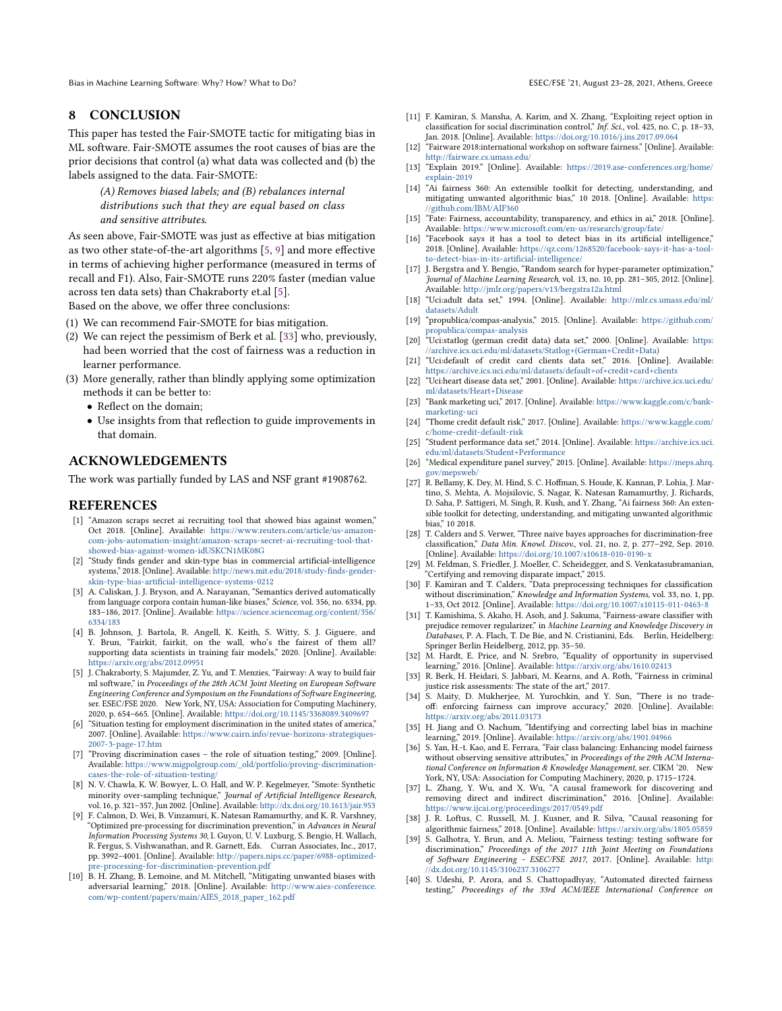## 8 CONCLUSION

This paper has tested the Fair-SMOTE tactic for mitigating bias in ML software. Fair-SMOTE assumes the root causes of bias are the prior decisions that control (a) what data was collected and (b) the labels assigned to the data. Fair-SMOTE:

(A) Removes biased labels; and (B) rebalances internal distributions such that they are equal based on class and sensitive attributes.

As seen above, Fair-SMOTE was just as effective at bias mitigation as two other state-of-the-art algorithms [\[5,](#page-10-4) [9\]](#page-10-8) and more effective in terms of achieving higher performance (measured in terms of recall and F1). Also, Fair-SMOTE runs 220% faster (median value across ten data sets) than Chakraborty et.al [\[5\]](#page-10-4).

Based on the above, we offer three conclusions:

- (1) We can recommend Fair-SMOTE for bias mitigation.
- (2) We can reject the pessimism of Berk et al. [\[33\]](#page-10-20) who, previously, had been worried that the cost of fairness was a reduction in learner performance.
- (3) More generally, rather than blindly applying some optimization methods it can be better to:
	- Reflect on the domain;
	- Use insights from that reflection to guide improvements in that domain.

## ACKNOWLEDGEMENTS

The work was partially funded by LAS and NSF grant #1908762.

#### REFERENCES

- <span id="page-10-0"></span>[1] "Amazon scraps secret ai recruiting tool that showed bias against women," Oct 2018. [Online]. Available: [https://www.reuters.com/article/us-amazon](https://www.reuters.com/article/us-amazon-com-jobs-automation-insight/amazon-scraps-secret-ai-recruiting-tool-that-showed-bias-against-women-idUSKCN1MK08G)[com-jobs-automation-insight/amazon-scraps-secret-ai-recruiting-tool-that](https://www.reuters.com/article/us-amazon-com-jobs-automation-insight/amazon-scraps-secret-ai-recruiting-tool-that-showed-bias-against-women-idUSKCN1MK08G)[showed-bias-against-women-idUSKCN1MK08G](https://www.reuters.com/article/us-amazon-com-jobs-automation-insight/amazon-scraps-secret-ai-recruiting-tool-that-showed-bias-against-women-idUSKCN1MK08G)
- <span id="page-10-1"></span>[2] "Study finds gender and skin-type bias in commercial artificial-intelligence systems," 2018. [Online]. Available: [http://news.mit.edu/2018/study-finds-gender](http://news.mit.edu/2018/study-finds-gender-skin-type-bias-artificial-intelligence-systems-0212)[skin-type-bias-artificial-intelligence-systems-0212](http://news.mit.edu/2018/study-finds-gender-skin-type-bias-artificial-intelligence-systems-0212)
- <span id="page-10-2"></span>[3] A. Caliskan, J. J. Bryson, and A. Narayanan, "Semantics derived automatically from language corpora contain human-like biases," Science, vol. 356, no. 6334, pp. 183–186, 2017. [Online]. Available: [https://science.sciencemag.org/content/356/](https://science.sciencemag.org/content/356/6334/183) [6334/183](https://science.sciencemag.org/content/356/6334/183)
- <span id="page-10-3"></span>[4] B. Johnson, J. Bartola, R. Angell, K. Keith, S. Witty, S. J. Giguere, and Y. Brun, "Fairkit, fairkit, on the wall, who's the fairest of them all? supporting data scientists in training fair models," 2020. [Online]. Available: <https://arxiv.org/abs/2012.09951>
- <span id="page-10-4"></span>[5] J. Chakraborty, S. Majumder, Z. Yu, and T. Menzies, "Fairway: A way to build fair ml software," in Proceedings of the 28th ACM Joint Meeting on European Software Engineering Conference and Symposium on the Foundations of Software Engineering, ser. ESEC/FSE 2020. New York, NY, USA: Association for Computing Machinery, 2020, p. 654–665. [Online]. Available: <https://doi.org/10.1145/3368089.3409697>
- <span id="page-10-5"></span>[6] "Situation testing for employment discrimination in the united states of america," 2007. [Online]. Available: [https://www.cairn.info/revue-horizons-strategiques-](https://www.cairn.info/revue-horizons-strategiques-2007-3-page-17.htm)[2007-3-page-17.htm](https://www.cairn.info/revue-horizons-strategiques-2007-3-page-17.htm)
- <span id="page-10-6"></span>[7] "Proving discrimination cases – the role of situation testing," 2009. [Online]. Available: [https://www.migpolgroup.com/\\_old/portfolio/proving-discrimination](https://www.migpolgroup.com/_old/portfolio/proving-discrimination-cases-the-role-of-situation-testing/)[cases-the-role-of-situation-testing/](https://www.migpolgroup.com/_old/portfolio/proving-discrimination-cases-the-role-of-situation-testing/)
- <span id="page-10-7"></span>[8] N. V. Chawla, K. W. Bowyer, L. O. Hall, and W. P. Kegelmeyer, "Smote: Synthetic minority over-sampling technique," *Journal of Artificial Intelligence Research*,<br>vol. 16, p. 321–357, Jun 2002. [Online]. Available: <http://dx.doi.org/10.1613/jair.953>
- <span id="page-10-8"></span>[9] F. Calmon, D. Wei, B. Vinzamuri, K. Natesan Ramamurthy, and K. R. Varshney, "Optimized pre-processing for discrimination prevention," in Advances in Neural Information Processing Systems 30, I. Guyon, U. V. Luxburg, S. Bengio, H. Wallach, R. Fergus, S. Vishwanathan, and R. Garnett, Eds. Curran Associates, Inc., 2017, pp. 3992–4001. [Online]. Available: [http://papers.nips.cc/paper/6988-optimized](http://papers.nips.cc/paper/6988-optimized-pre-processing-for-discrimination-prevention.pdf)[pre-processing-for-discrimination-prevention.pdf](http://papers.nips.cc/paper/6988-optimized-pre-processing-for-discrimination-prevention.pdf)
- <span id="page-10-18"></span>[10] B. H. Zhang, B. Lemoine, and M. Mitchell, "Mitigating unwanted biases with adversarial learning," 2018. [Online]. Available: [http://www.aies-conference.](http://www.aies-conference.com/wp-content/papers/main/AIES_2018_paper_162.pdf) [com/wp-content/papers/main/AIES\\_2018\\_paper\\_162.pdf](http://www.aies-conference.com/wp-content/papers/main/AIES_2018_paper_162.pdf)
- 
- <span id="page-10-9"></span>[11] F. Kamiran, S. Mansha, A. Karim, and X. Zhang, "Exploiting reject option in classification for social discrimination control," Inf. Sci., vol. 425, no. C, p. 18–33, Jan. 2018. [Online]. Available: <https://doi.org/10.1016/j.ins.2017.09.064>
- <span id="page-10-10"></span>[12] "Fairware 2018:international workshop on software fairness." [Online]. Available: <http://fairware.cs.umass.edu/>
- <span id="page-10-11"></span>[13] "Explain 2019." [Online]. Available: [https://2019.ase-conferences.org/home/](https://2019.ase-conferences.org/home/explain-2019) [explain-2019](https://2019.ase-conferences.org/home/explain-2019)
- <span id="page-10-12"></span>[14] "Ai fairness 360: An extensible toolkit for detecting, understanding, and mitigating unwanted algorithmic bias," 10 2018. [Online]. Available: [https:](https://github.com/IBM/AIF360) [//github.com/IBM/AIF360](https://github.com/IBM/AIF360)
- <span id="page-10-13"></span>[15] "Fate: Fairness, accountability, transparency, and ethics in ai," 2018. [Online]. Available: <https://www.microsoft.com/en-us/research/group/fate/>
- <span id="page-10-14"></span>[16] "Facebook says it has a tool to detect bias in its artificial intelligence," 2018. [Online]. Available: [https://qz.com/1268520/facebook-says-it-has-a-tool](https://qz.com/1268520/facebook-says-it-has-a-tool-to-detect-bias-in-its-artificial-intelligence/)[to-detect-bias-in-its-artificial-intelligence/](https://qz.com/1268520/facebook-says-it-has-a-tool-to-detect-bias-in-its-artificial-intelligence/)
- <span id="page-10-15"></span>[17] J. Bergstra and Y. Bengio, "Random search for hyper-parameter optimization," Journal of Machine Learning Research, vol. 13, no. 10, pp. 281–305, 2012. [Online]. Available: <http://jmlr.org/papers/v13/bergstra12a.html>
- <span id="page-10-28"></span>[18] "Uci:adult data set," 1994. [Online]. Available: [http://mlr.cs.umass.edu/ml/](http://mlr.cs.umass.edu/ml/datasets/Adult) [datasets/Adult](http://mlr.cs.umass.edu/ml/datasets/Adult)
- <span id="page-10-29"></span>[19] "propublica/compas-analysis," 2015. [Online]. Available: [https://github.com/](https://github.com/propublica/compas-analysis) [propublica/compas-analysis](https://github.com/propublica/compas-analysis)
- <span id="page-10-30"></span>[20] "Uci:statlog (german credit data) data set," 2000. [Online]. Available: [https:](https://archive.ics.uci.edu/ml/datasets/Statlog+(German+Credit +Data)) [//archive.ics.uci.edu/ml/datasets/Statlog+\(German+Credit+Data\)](https://archive.ics.uci.edu/ml/datasets/Statlog+(German+Credit +Data))
- <span id="page-10-31"></span>[21] "Uci:default of credit card clients data set," 2016. [Online]. Available: <https://archive.ics.uci.edu/ml/datasets/default+of+credit+card+clients>
- <span id="page-10-32"></span>[22] "Uci:heart disease data set," 2001. [Online]. Available: [https://archive.ics.uci.edu/](https://archive.ics.uci.edu/ml/datasets/Heart+Disease) [ml/datasets/Heart+Disease](https://archive.ics.uci.edu/ml/datasets/Heart+Disease)
- <span id="page-10-33"></span>[23] "Bank marketing uci," 2017. [Online]. Available: [https://www.kaggle.com/c/bank](https://www.kaggle.com/c/bank-marketing-uci)[marketing-uci](https://www.kaggle.com/c/bank-marketing-uci)
- <span id="page-10-34"></span>[24] "Thome credit default risk," 2017. [Online]. Available: [https://www.kaggle.com/](https://www.kaggle.com/c/home-credit-default-risk) [c/home-credit-default-risk](https://www.kaggle.com/c/home-credit-default-risk)
- <span id="page-10-35"></span>[25] "Student performance data set," 2014. [Online]. Available: [https://archive.ics.uci.](https://archive.ics.uci.edu/ml/datasets/Student+Performance) [edu/ml/datasets/Student+Performance](https://archive.ics.uci.edu/ml/datasets/Student+Performance)
- <span id="page-10-36"></span>[26] "Medical expenditure panel survey," 2015. [Online]. Available: [https://meps.ahrq.](https://meps.ahrq.gov/mepsweb/) [gov/mepsweb/](https://meps.ahrq.gov/mepsweb/)
- <span id="page-10-37"></span>[27] R. Bellamy, K. Dey, M. Hind, S. C. Hoffman, S. Houde, K. Kannan, P. Lohia, J. Martino, S. Mehta, A. Mojsilovic, S. Nagar, K. Natesan Ramamurthy, J. Richards, D. Saha, P. Sattigeri, M. Singh, R. Kush, and Y. Zhang, "Ai fairness 360: An extensible toolkit for detecting, understanding, and mitigating unwanted algorithmic bias," 10 2018.
- <span id="page-10-38"></span>[28] T. Calders and S. Verwer, "Three naive bayes approaches for discrimination-free classification," Data Min. Knowl. Discov., vol. 21, no. 2, p. 277–292, Sep. 2010. [Online]. Available: <https://doi.org/10.1007/s10618-010-0190-x>
- <span id="page-10-39"></span>[29] M. Feldman, S. Friedler, J. Moeller, C. Scheidegger, and S. Venkatasubramanian, "Certifying and removing disparate impact," 2015.
- <span id="page-10-16"></span>[30] F. Kamiran and T. Calders, "Data preprocessing techniques for classification without discrimination," Knowledge and Information Systems, vol. 33, no. 1, pp. 1–33, Oct 2012. [Online]. Available: <https://doi.org/10.1007/s10115-011-0463-8>
- <span id="page-10-17"></span>[31] T. Kamishima, S. Akaho, H. Asoh, and J. Sakuma, "Fairness-aware classifier with prejudice remover regularizer," in Machine Learning and Knowledge Discovery in Databases, P. A. Flach, T. De Bie, and N. Cristianini, Eds. Berlin, Heidelberg: Springer Berlin Heidelberg, 2012, pp. 35–50.
- <span id="page-10-19"></span>[32] M. Hardt, E. Price, and N. Srebro, "Equality of opportunity in supervised learning," 2016. [Online]. Available: <https://arxiv.org/abs/1610.02413>
- <span id="page-10-20"></span>[33] R. Berk, H. Heidari, S. Jabbari, M. Kearns, and A. Roth, "Fairness in criminal justice risk assessments: The state of the art," 2017.
- <span id="page-10-21"></span>[34] S. Maity, D. Mukherjee, M. Yurochkin, and Y. Sun, "There is no tradeoff: enforcing fairness can improve accuracy," 2020. [Online]. Available: <https://arxiv.org/abs/2011.03173>
- <span id="page-10-22"></span>[35] H. Jiang and O. Nachum, "Identifying and correcting label bias in machine learning," 2019. [Online]. Available: <https://arxiv.org/abs/1901.04966>
- <span id="page-10-23"></span>[36] S. Yan, H.-t. Kao, and E. Ferrara, "Fair class balancing: Enhancing model fairness without observing sensitive attributes," in Proceedings of the 29th ACM International Conference on Information & Knowledge Management, ser. CIKM '20. New York, NY, USA: Association for Computing Machinery, 2020, p. 1715–1724.
- <span id="page-10-24"></span>[37] L. Zhang, Y. Wu, and X. Wu, "A causal framework for discovering and removing direct and indirect discrimination," 2016. [Online]. Available: <https://www.ijcai.org/proceedings/2017/0549.pdf>
- <span id="page-10-25"></span>[38] J. R. Loftus, C. Russell, M. J. Kusner, and R. Silva, "Causal reasoning for algorithmic fairness," 2018. [Online]. Available: <https://arxiv.org/abs/1805.05859>
- <span id="page-10-26"></span>[39] S. Galhotra, Y. Brun, and A. Meliou, "Fairness testing: testing software for discrimination," Proceedings of the 2017 11th Joint Meeting on Foundations of Software Engineering - ESEC/FSE 2017, 2017. [Online]. Available: [http:](http://dx.doi.org/10.1145/3106237.3106277) [//dx.doi.org/10.1145/3106237.3106277](http://dx.doi.org/10.1145/3106237.3106277)
- <span id="page-10-27"></span>[40] S. Udeshi, P. Arora, and S. Chattopadhyay, "Automated directed fairness testing," Proceedings of the 33rd ACM/IEEE International Conference on